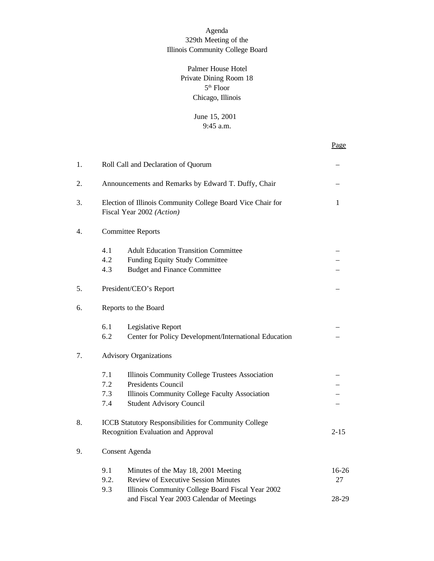#### Agenda 329th Meeting of the Illinois Community College Board

### Palmer House Hotel Private Dining Room 18  $5<sup>th</sup>$  Floor Chicago, Illinois

#### June 15, 2001 9:45 a.m.

Page

| 1. |                          | Roll Call and Declaration of Quorum                                                                                                                        |             |  |  |  |
|----|--------------------------|------------------------------------------------------------------------------------------------------------------------------------------------------------|-------------|--|--|--|
| 2. |                          | Announcements and Remarks by Edward T. Duffy, Chair                                                                                                        |             |  |  |  |
| 3. |                          | Election of Illinois Community College Board Vice Chair for<br>Fiscal Year 2002 (Action)                                                                   |             |  |  |  |
| 4. |                          | <b>Committee Reports</b>                                                                                                                                   |             |  |  |  |
|    | 4.1<br>4.2<br>4.3        | <b>Adult Education Transition Committee</b><br>Funding Equity Study Committee<br><b>Budget and Finance Committee</b>                                       |             |  |  |  |
| 5. |                          | President/CEO's Report                                                                                                                                     |             |  |  |  |
| 6. |                          | Reports to the Board                                                                                                                                       |             |  |  |  |
| 7. | 6.1<br>6.2               | Legislative Report<br>Center for Policy Development/International Education<br><b>Advisory Organizations</b>                                               |             |  |  |  |
|    | 7.1<br>7.2<br>7.3<br>7.4 | Illinois Community College Trustees Association<br>Presidents Council<br>Illinois Community College Faculty Association<br><b>Student Advisory Council</b> |             |  |  |  |
| 8. |                          | ICCB Statutory Responsibilities for Community College<br>Recognition Evaluation and Approval                                                               | $2 - 15$    |  |  |  |
| 9. | Consent Agenda           |                                                                                                                                                            |             |  |  |  |
|    | 9.1<br>9.2.<br>9.3       | Minutes of the May 18, 2001 Meeting<br><b>Review of Executive Session Minutes</b><br>Illinois Community College Board Fiscal Year 2002                     | 16-26<br>27 |  |  |  |
|    |                          | and Fiscal Year 2003 Calendar of Meetings                                                                                                                  | 28-29       |  |  |  |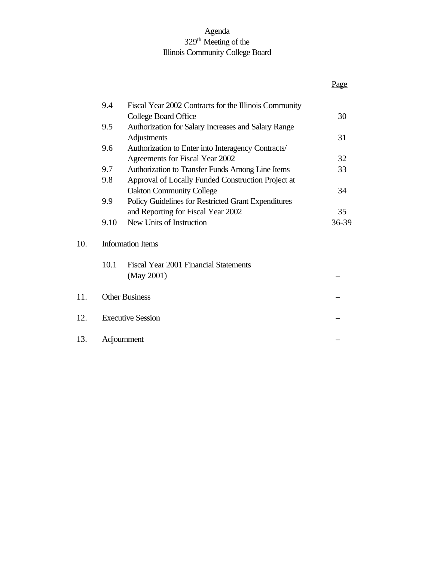## Agenda 329<sup>th</sup> Meeting of the Illinois Community College Board

|     |      |                                                       | Page  |
|-----|------|-------------------------------------------------------|-------|
|     | 9.4  | Fiscal Year 2002 Contracts for the Illinois Community |       |
|     |      | College Board Office                                  | 30    |
|     | 9.5  | Authorization for Salary Increases and Salary Range   |       |
|     |      | Adjustments                                           | 31    |
|     | 9.6  | Authorization to Enter into Interagency Contracts/    |       |
|     |      | Agreements for Fiscal Year 2002                       | 32    |
|     | 9.7  | Authorization to Transfer Funds Among Line Items      | 33    |
|     | 9.8  | Approval of Locally Funded Construction Project at    |       |
|     |      | <b>Oakton Community College</b>                       | 34    |
|     | 9.9  | Policy Guidelines for Restricted Grant Expenditures   |       |
|     |      | and Reporting for Fiscal Year 2002                    | 35    |
|     | 9.10 | New Units of Instruction                              | 36-39 |
| 10. |      | <b>Information Items</b>                              |       |
|     | 10.1 | Fiscal Year 2001 Financial Statements                 |       |
|     |      | (May 2001)                                            |       |
| 11. |      | <b>Other Business</b>                                 |       |
| 12. |      | <b>Executive Session</b>                              |       |
| 13. |      | Adjournment                                           |       |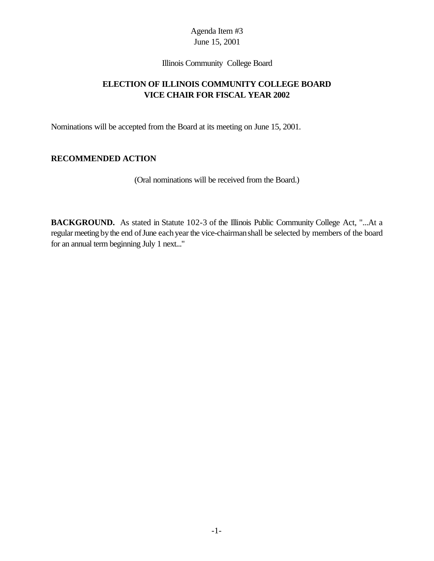Illinois Community College Board

# **ELECTION OF ILLINOIS COMMUNITY COLLEGE BOARD VICE CHAIR FOR FISCAL YEAR 2002**

Nominations will be accepted from the Board at its meeting on June 15, 2001.

# **RECOMMENDED ACTION**

(Oral nominations will be received from the Board.)

**BACKGROUND.** As stated in Statute 102-3 of the Illinois Public Community College Act, "...At a regular meeting by the end of June each year the vice-chairman shall be selected by members of the board for an annual term beginning July 1 next..."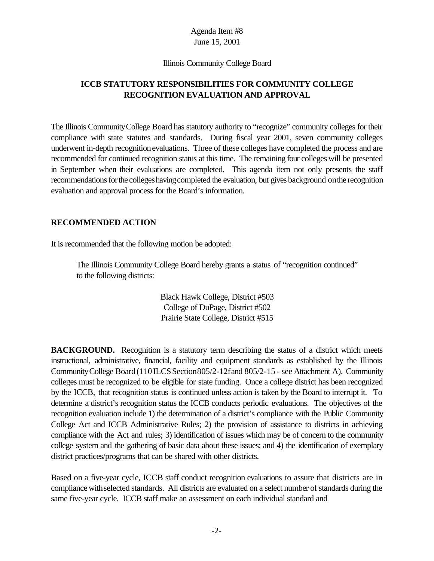#### Illinois Community College Board

# **ICCB STATUTORY RESPONSIBILITIES FOR COMMUNITY COLLEGE RECOGNITION EVALUATION AND APPROVAL**

The Illinois CommunityCollege Board has statutory authority to "recognize" community colleges for their compliance with state statutes and standards. During fiscal year 2001, seven community colleges underwent in-depth recognitionevaluations. Three of these colleges have completed the process and are recommended for continued recognition status at this time. The remaining four colleges will be presented in September when their evaluations are completed. This agenda item not only presents the staff recommendations for the colleges having completed the evaluation, but gives background on the recognition evaluation and approval process for the Board's information.

#### **RECOMMENDED ACTION**

It is recommended that the following motion be adopted:

The Illinois Community College Board hereby grants a status of "recognition continued" to the following districts:

> Black Hawk College, District #503 College of DuPage, District #502 Prairie State College, District #515

**BACKGROUND.** Recognition is a statutory term describing the status of a district which meets instructional, administrative, financial, facility and equipment standards as established by the Illinois Community College Board (110 ILCS Section 805/2-12 fand 805/2-15 - see Attachment A). Community colleges must be recognized to be eligible for state funding. Once a college district has been recognized by the ICCB, that recognition status is continued unless action is taken by the Board to interrupt it. To determine a district's recognition status the ICCB conducts periodic evaluations. The objectives of the recognition evaluation include 1) the determination of a district's compliance with the Public Community College Act and ICCB Administrative Rules; 2) the provision of assistance to districts in achieving compliance with the Act and rules; 3) identification of issues which may be of concern to the community college system and the gathering of basic data about these issues; and 4) the identification of exemplary district practices/programs that can be shared with other districts.

Based on a five-year cycle, ICCB staff conduct recognition evaluations to assure that districts are in compliance withselected standards. All districts are evaluated on a select number of standards during the same five-year cycle. ICCB staff make an assessment on each individual standard and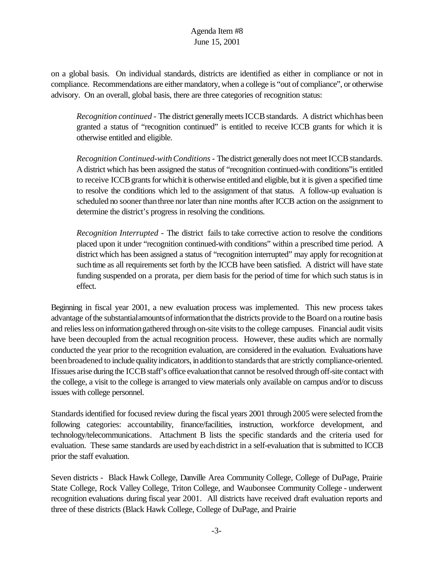on a global basis. On individual standards, districts are identified as either in compliance or not in compliance. Recommendations are either mandatory, when a college is "out of compliance", or otherwise advisory. On an overall, global basis, there are three categories of recognition status:

*Recognition continued* - The district generally meets ICCB standards. A district which has been granted a status of "recognition continued" is entitled to receive ICCB grants for which it is otherwise entitled and eligible.

*Recognition Continued-with Conditions* - The district generally does not meet ICCB standards. A district which has been assigned the status of "recognition continued-with conditions"is entitled to receive ICCB grants for which it is otherwise entitled and eligible, but it is given a specified time to resolve the conditions which led to the assignment of that status. A follow-up evaluation is scheduled no sooner than three nor later than nine months after ICCB action on the assignment to determine the district's progress in resolving the conditions.

*Recognition Interrupted* - The district fails to take corrective action to resolve the conditions placed upon it under "recognition continued-with conditions" within a prescribed time period. A district which has been assigned a status of "recognition interrupted" may apply for recognition at such time as all requirements set forth by the ICCB have been satisfied. A district will have state funding suspended on a prorata, per diem basis for the period of time for which such status is in effect.

Beginning in fiscal year 2001, a new evaluation process was implemented. This new process takes advantage of the substantial amounts of information that the districts provide to the Board on a routine basis and relies less on information gathered through on-site visits to the college campuses. Financial audit visits have been decoupled from the actual recognition process. However, these audits which are normally conducted the year prior to the recognition evaluation, are considered in the evaluation. Evaluations have been broadened to include quality indicators, in addition to standards that are strictly compliance-oriented. If issues arise during the ICCB staff's office evaluation that cannot be resolved through off-site contact with the college, a visit to the college is arranged to viewmaterials only available on campus and/or to discuss issues with college personnel.

Standardsidentified for focused review during the fiscal years 2001 through 2005 were selected fromthe following categories: accountability, finance/facilities, instruction, workforce development, and technology/telecommunications. Attachment B lists the specific standards and the criteria used for evaluation. These same standards are used byeachdistrict in a self-evaluation that is submitted to ICCB prior the staff evaluation.

Seven districts - Black Hawk College, Danville Area Community College, College of DuPage, Prairie State College, Rock Valley College, Triton College, and Waubonsee Community College - underwent recognition evaluations during fiscal year 2001. All districts have received draft evaluation reports and three of these districts (Black Hawk College, College of DuPage, and Prairie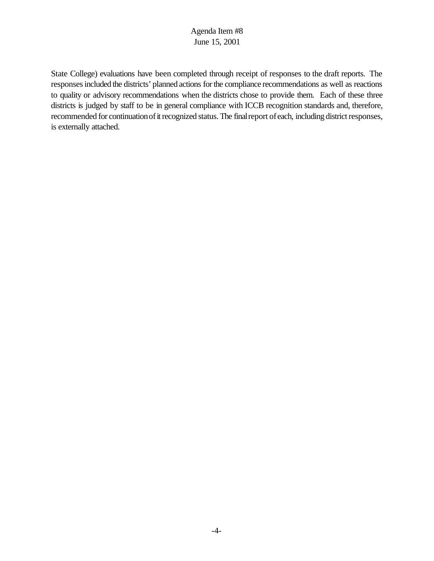State College) evaluations have been completed through receipt of responses to the draft reports. The responsesincluded the districts' planned actions forthe compliance recommendations as well as reactions to quality or advisory recommendations when the districts chose to provide them. Each of these three districts is judged by staff to be in general compliance with ICCB recognition standards and, therefore, recommended for continuation of it recognized status. The final report of each, including district responses, is externally attached.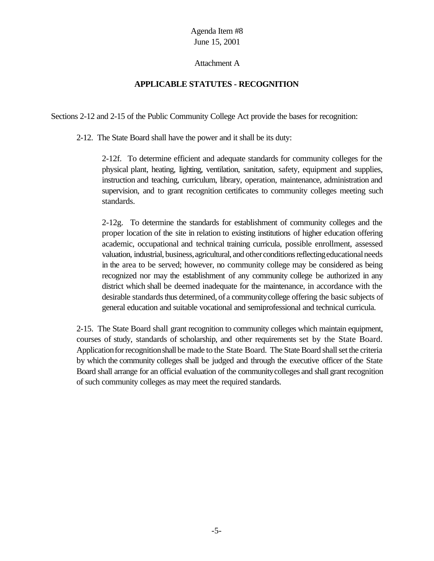#### Attachment A

## **APPLICABLE STATUTES - RECOGNITION**

Sections 2-12 and 2-15 of the Public Community College Act provide the bases for recognition:

2-12. The State Board shall have the power and it shall be its duty:

2-12f. To determine efficient and adequate standards for community colleges for the physical plant, heating, lighting, ventilation, sanitation, safety, equipment and supplies, instruction and teaching, curriculum, library, operation, maintenance, administration and supervision, and to grant recognition certificates to community colleges meeting such standards.

2-12g. To determine the standards for establishment of community colleges and the proper location of the site in relation to existing institutions of higher education offering academic, occupational and technical training curricula, possible enrollment, assessed valuation, industrial, business, agricultural, and other conditions reflecting educational needs in the area to be served; however, no community college may be considered as being recognized nor may the establishment of any community college be authorized in any district which shall be deemed inadequate for the maintenance, in accordance with the desirable standards thus determined, of a community college offering the basic subjects of general education and suitable vocational and semiprofessional and technical curricula.

2-15. The State Board shall grant recognition to community colleges which maintain equipment, courses of study, standards of scholarship, and other requirements set by the State Board. Application for recognition shall be made to the State Board. The State Board shall set the criteria by which the community colleges shall be judged and through the executive officer of the State Board shall arrange for an official evaluation of the communitycolleges and shall grant recognition of such community colleges as may meet the required standards.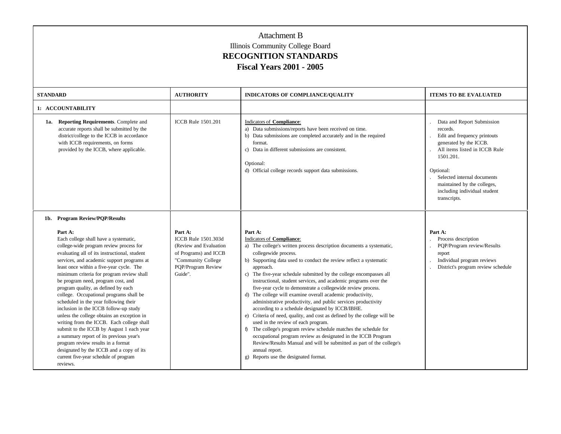| <b>STANDARD</b> |                                                                                                                                                                                                                                                                                                                                                                                                                                                                                                                                                                                                                                                                                                                                                                                                                       | <b>AUTHORITY</b>                                                                                                                                | <b>INDICATORS OF COMPLIANCE/QUALITY</b>                                                                                                                                                                                                                                                                                                                                                                                                                                                                                                                                                                                                                                                                                                                                                                                                                                                                                                                                                                         | <b>ITEMS TO BE EVALUATED</b>                                                                                                                                                                                                                                              |
|-----------------|-----------------------------------------------------------------------------------------------------------------------------------------------------------------------------------------------------------------------------------------------------------------------------------------------------------------------------------------------------------------------------------------------------------------------------------------------------------------------------------------------------------------------------------------------------------------------------------------------------------------------------------------------------------------------------------------------------------------------------------------------------------------------------------------------------------------------|-------------------------------------------------------------------------------------------------------------------------------------------------|-----------------------------------------------------------------------------------------------------------------------------------------------------------------------------------------------------------------------------------------------------------------------------------------------------------------------------------------------------------------------------------------------------------------------------------------------------------------------------------------------------------------------------------------------------------------------------------------------------------------------------------------------------------------------------------------------------------------------------------------------------------------------------------------------------------------------------------------------------------------------------------------------------------------------------------------------------------------------------------------------------------------|---------------------------------------------------------------------------------------------------------------------------------------------------------------------------------------------------------------------------------------------------------------------------|
|                 | 1: ACCOUNTABILITY                                                                                                                                                                                                                                                                                                                                                                                                                                                                                                                                                                                                                                                                                                                                                                                                     |                                                                                                                                                 |                                                                                                                                                                                                                                                                                                                                                                                                                                                                                                                                                                                                                                                                                                                                                                                                                                                                                                                                                                                                                 |                                                                                                                                                                                                                                                                           |
| 1a.             | <b>Reporting Requirements.</b> Complete and<br>accurate reports shall be submitted by the<br>district/college to the ICCB in accordance<br>with ICCB requirements, on forms<br>provided by the ICCB, where applicable.                                                                                                                                                                                                                                                                                                                                                                                                                                                                                                                                                                                                | <b>ICCB</b> Rule 1501.201                                                                                                                       | <b>Indicators of Compliance:</b><br>a) Data submissions/reports have been received on time.<br>b) Data submissions are completed accurately and in the required<br>format.<br>c) Data in different submissions are consistent.<br>Optional:<br>d) Official college records support data submissions.                                                                                                                                                                                                                                                                                                                                                                                                                                                                                                                                                                                                                                                                                                            | Data and Report Submission<br>records.<br>Edit and frequency printouts<br>generated by the ICCB.<br>All items listed in ICCB Rule<br>1501.201.<br>Optional:<br>Selected internal documents<br>maintained by the colleges,<br>including individual student<br>transcripts. |
|                 | 1b. Program Review/PQP/Results                                                                                                                                                                                                                                                                                                                                                                                                                                                                                                                                                                                                                                                                                                                                                                                        |                                                                                                                                                 |                                                                                                                                                                                                                                                                                                                                                                                                                                                                                                                                                                                                                                                                                                                                                                                                                                                                                                                                                                                                                 |                                                                                                                                                                                                                                                                           |
|                 | Part A:<br>Each college shall have a systematic,<br>college-wide program review process for<br>evaluating all of its instructional, student<br>services, and academic support programs at<br>least once within a five-year cycle. The<br>minimum criteria for program review shall<br>be program need, program cost, and<br>program quality, as defined by each<br>college. Occupational programs shall be<br>scheduled in the year following their<br>inclusion in the ICCB follow-up study<br>unless the college obtains an exception in<br>writing from the ICCB. Each college shall<br>submit to the ICCB by August 1 each year<br>a summary report of its previous year's<br>program review results in a format<br>designated by the ICCB and a copy of its<br>current five-year schedule of program<br>reviews. | Part A:<br><b>ICCB Rule 1501.303d</b><br>(Review and Evaluation<br>of Programs) and ICCB<br>"Community College<br>PQP/Program Review<br>Guide". | Part A:<br>Indicators of Compliance:<br>a) The college's written process description documents a systematic,<br>collegewide process.<br>b) Supporting data used to conduct the review reflect a systematic<br>approach.<br>c) The five-year schedule submitted by the college encompasses all<br>instructional, student services, and academic programs over the<br>five-year cycle to demonstrate a collegewide review process.<br>d) The college will examine overall academic productivity,<br>administrative productivity, and public services productivity<br>according to a schedule designated by ICCB/IBHE.<br>e) Criteria of need, quality, and cost as defined by the college will be<br>used in the review of each program.<br>f) The college's program review schedule matches the schedule for<br>occupational program review as designated in the ICCB Program<br>Review/Results Manual and will be submitted as part of the college's<br>annual report.<br>g) Reports use the designated format. | Part A:<br>Process description<br>PQP/Program review/Results<br>report<br>Individual program reviews<br>District's program review schedule                                                                                                                                |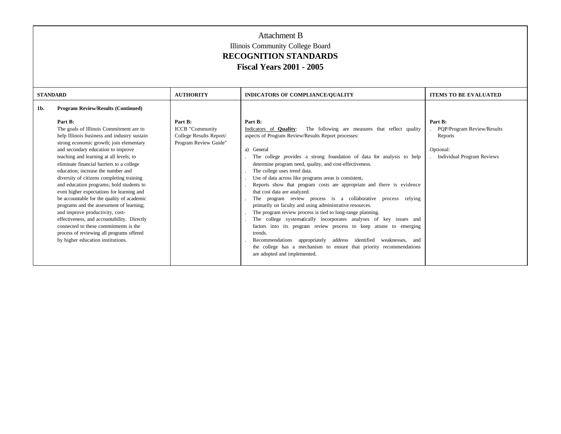| <b>STANDARD</b> |                                                                                                                                                                                                                                                                                                                                                                                                                                                                                                                                                                                                                                                                                                                                                               | <b>AUTHORITY</b>                                                                      | <b>INDICATORS OF COMPLIANCE/QUALITY</b>                                                                                                                                                                                                                                                                                                                                                                                                                                                                                                                                                                                                                                                                                                                                                                                                                                                                                                                                                                                                     | <b>ITEMS TO BE EVALUATED</b>                                                                       |
|-----------------|---------------------------------------------------------------------------------------------------------------------------------------------------------------------------------------------------------------------------------------------------------------------------------------------------------------------------------------------------------------------------------------------------------------------------------------------------------------------------------------------------------------------------------------------------------------------------------------------------------------------------------------------------------------------------------------------------------------------------------------------------------------|---------------------------------------------------------------------------------------|---------------------------------------------------------------------------------------------------------------------------------------------------------------------------------------------------------------------------------------------------------------------------------------------------------------------------------------------------------------------------------------------------------------------------------------------------------------------------------------------------------------------------------------------------------------------------------------------------------------------------------------------------------------------------------------------------------------------------------------------------------------------------------------------------------------------------------------------------------------------------------------------------------------------------------------------------------------------------------------------------------------------------------------------|----------------------------------------------------------------------------------------------------|
| 1b.             | <b>Program Review/Results (Continued)</b>                                                                                                                                                                                                                                                                                                                                                                                                                                                                                                                                                                                                                                                                                                                     |                                                                                       |                                                                                                                                                                                                                                                                                                                                                                                                                                                                                                                                                                                                                                                                                                                                                                                                                                                                                                                                                                                                                                             |                                                                                                    |
|                 | Part B:<br>The goals of Illinois Commitment are to<br>help Illinois business and industry sustain<br>strong economic growth; join elementary<br>and secondary education to improve<br>teaching and learning at all levels; to<br>eliminate financial barriers to a college<br>education: increase the number and<br>diversity of citizens completing training<br>and education programs; hold students to<br>even higher expectations for learning and<br>be accountable for the quality of academic<br>programs and the assessment of learning;<br>and improve productivity, cost-<br>effectiveness, and accountability. Directly<br>connected to these commitments is the<br>process of reviewing all programs offered<br>by higher education institutions. | Part B:<br><b>ICCB</b> "Community<br>College Results Report/<br>Program Review Guide" | Part B:<br>The following are measures that reflect quality<br>Indicators of <b>Quality</b> :<br>aspects of Program Review/Results Report processes:<br>a) General<br>The college provides a strong foundation of data for analysis to help<br>determine program need, quality, and cost-effectiveness.<br>The college uses trend data.<br>Use of data across like programs areas is consistent,<br>Reports show that program costs are appropriate and there is evidence<br>that cost data are analyzed.<br>The program review process is a collaborative process relying<br>primarily on faculty and using administrative resources.<br>The program review process is tied to long-range planning.<br>The college systematically incorporates analyses of key issues and<br>factors into its program review process to keep attune to emerging<br>trends.<br>Recommendations appropriately<br>address identified<br>weaknesses, and<br>the college has a mechanism to ensure that priority recommendations<br>are adopted and implemented. | Part B:<br>PQP/Program Review/Results<br>Reports<br>Optional:<br><b>Individual Program Reviews</b> |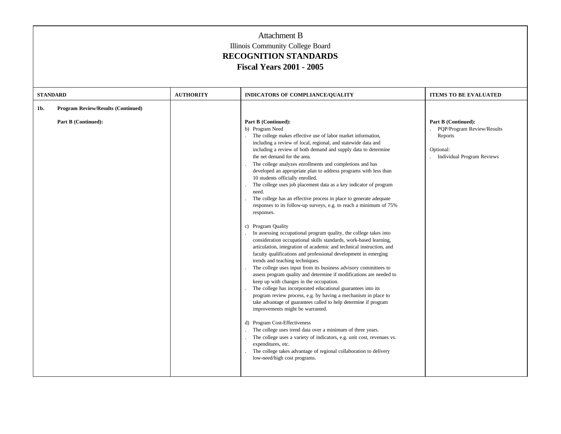| <b>STANDARD</b> |                                                                  | <b>AUTHORITY</b> | INDICATORS OF COMPLIANCE/QUALITY                                                                                                                                                                                                                                                                                                                                                                                                                                                                                                                                                                                                                                                                                                                                                                                                                                                                                                                                                                                                                                                                                                                                                                                                                                                                                                                                                                                                                                                                                          | <b>ITEMS TO BE EVALUATED</b>                                              |
|-----------------|------------------------------------------------------------------|------------------|---------------------------------------------------------------------------------------------------------------------------------------------------------------------------------------------------------------------------------------------------------------------------------------------------------------------------------------------------------------------------------------------------------------------------------------------------------------------------------------------------------------------------------------------------------------------------------------------------------------------------------------------------------------------------------------------------------------------------------------------------------------------------------------------------------------------------------------------------------------------------------------------------------------------------------------------------------------------------------------------------------------------------------------------------------------------------------------------------------------------------------------------------------------------------------------------------------------------------------------------------------------------------------------------------------------------------------------------------------------------------------------------------------------------------------------------------------------------------------------------------------------------------|---------------------------------------------------------------------------|
| 1b.             | <b>Program Review/Results (Continued)</b><br>Part B (Continued): |                  | Part B (Continued):<br>b) Program Need<br>The college makes effective use of labor market information,<br>including a review of local, regional, and statewide data and<br>including a review of both demand and supply data to determine                                                                                                                                                                                                                                                                                                                                                                                                                                                                                                                                                                                                                                                                                                                                                                                                                                                                                                                                                                                                                                                                                                                                                                                                                                                                                 | Part B (Continued):<br>PQP/Program Review/Results<br>Reports<br>Optional: |
|                 |                                                                  |                  | the net demand for the area.<br>The college analyzes enrollments and completions and has<br>developed an appropriate plan to address programs with less than<br>10 students officially enrolled.<br>The college uses job placement data as a key indicator of program<br>need.<br>The college has an effective process in place to generate adequate<br>responses to its follow-up surveys, e.g. to reach a minimum of 75%<br>responses.<br>c) Program Quality<br>In assessing occupational program quality, the college takes into<br>consideration occupational skills standards, work-based learning,<br>articulation, integration of academic and technical instruction, and<br>faculty qualifications and professional development in emerging<br>trends and teaching techniques.<br>The college uses input from its business advisory committees to<br>assess program quality and determine if modifications are needed to<br>keep up with changes in the occupation.<br>The college has incorporated educational guarantees into its<br>program review process, e.g. by having a mechanism in place to<br>take advantage of guarantees called to help determine if program<br>improvements might be warranted.<br>d) Program Cost-Effectiveness<br>The college uses trend data over a minimum of three years.<br>The college uses a variety of indicators, e.g. unit cost, revenues vs.<br>expenditures, etc.<br>The college takes advantage of regional collaboration to delivery<br>low-need/high cost programs. | <b>Individual Program Reviews</b>                                         |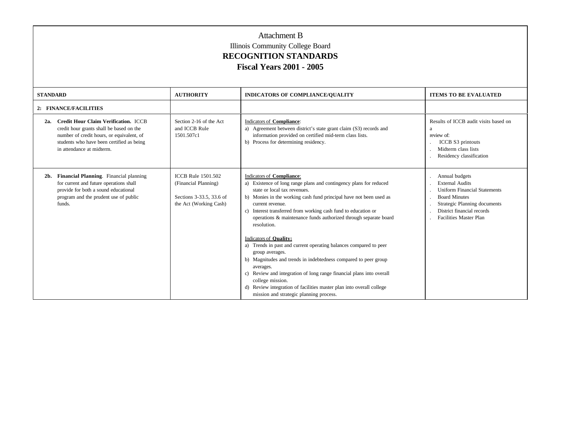| <b>STANDARD</b>                                                                                                                                                                                                       | <b>AUTHORITY</b>                                                                                        | <b>INDICATORS OF COMPLIANCE/OUALITY</b>                                                                                                                                                                                                                                                                                                                                                                              | <b>ITEMS TO BE EVALUATED</b>                                                                                                                                                                           |
|-----------------------------------------------------------------------------------------------------------------------------------------------------------------------------------------------------------------------|---------------------------------------------------------------------------------------------------------|----------------------------------------------------------------------------------------------------------------------------------------------------------------------------------------------------------------------------------------------------------------------------------------------------------------------------------------------------------------------------------------------------------------------|--------------------------------------------------------------------------------------------------------------------------------------------------------------------------------------------------------|
|                                                                                                                                                                                                                       |                                                                                                         |                                                                                                                                                                                                                                                                                                                                                                                                                      |                                                                                                                                                                                                        |
| 2: FINANCE/FACILITIES                                                                                                                                                                                                 |                                                                                                         |                                                                                                                                                                                                                                                                                                                                                                                                                      |                                                                                                                                                                                                        |
| <b>Credit Hour Claim Verification. ICCB</b><br>2a.<br>credit hour grants shall be based on the<br>number of credit hours, or equivalent, of<br>students who have been certified as being<br>in attendance at midterm. | Section 2-16 of the Act<br>and ICCB Rule<br>1501.507c1                                                  | Indicators of Compliance:<br>a) Agreement between district's state grant claim (S3) records and<br>information provided on certified mid-term class lists.<br>b) Process for determining residency.                                                                                                                                                                                                                  | Results of ICCB audit visits based on<br>a<br>review of:<br>ICCB S3 printouts<br>Midterm class lists<br>Residency classification                                                                       |
| Financial Planning. Financial planning<br>$2b$ .<br>for current and future operations shall<br>provide for both a sound educational<br>program and the prudent use of public<br>funds.                                | <b>ICCB</b> Rule 1501.502<br>(Financial Planning)<br>Sections 3-33.5, 33.6 of<br>the Act (Working Cash) | Indicators of Compliance:<br>a) Existence of long range plans and contingency plans for reduced<br>state or local tax revenues.<br>b) Monies in the working cash fund principal have not been used as<br>current revenue.<br>c) Interest transferred from working cash fund to education or<br>operations & maintenance funds authorized through separate board<br>resolution.                                       | Annual budgets<br><b>External Audits</b><br><b>Uniform Financial Statements</b><br><b>Board Minutes</b><br>Strategic Planning documents<br>District financial records<br><b>Facilities Master Plan</b> |
|                                                                                                                                                                                                                       |                                                                                                         | Indicators of <b>Quality:</b><br>a) Trends in past and current operating balances compared to peer<br>group averages.<br>b) Magnitudes and trends in indebtedness compared to peer group<br>averages.<br>c) Review and integration of long range financial plans into overall<br>college mission.<br>d) Review integration of facilities master plan into overall college<br>mission and strategic planning process. |                                                                                                                                                                                                        |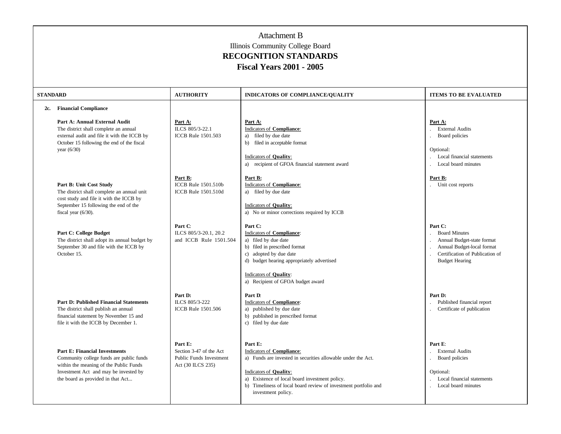| <b>STANDARD</b> |                                                                                                                                                                                                                     | <b>AUTHORITY</b>                                                                   | <b>INDICATORS OF COMPLIANCE/QUALITY</b>                                                                                                                                                                                                                                          | <b>ITEMS TO BE EVALUATED</b>                                                                                                                            |
|-----------------|---------------------------------------------------------------------------------------------------------------------------------------------------------------------------------------------------------------------|------------------------------------------------------------------------------------|----------------------------------------------------------------------------------------------------------------------------------------------------------------------------------------------------------------------------------------------------------------------------------|---------------------------------------------------------------------------------------------------------------------------------------------------------|
| 2c.             | <b>Financial Compliance</b><br>Part A: Annual External Audit<br>The district shall complete an annual<br>external audit and file it with the ICCB by<br>October 15 following the end of the fiscal<br>year $(6/30)$ | Part A:<br>ILCS 805/3-22.1<br><b>ICCB</b> Rule 1501.503                            | Part A:<br>Indicators of Compliance:<br>filed by due date<br>a)<br>b) filed in acceptable format<br>Indicators of Quality:<br>a) recipient of GFOA financial statement award                                                                                                     | Part A:<br><b>External Audits</b><br>Board policies<br>Optional:<br>Local financial statements<br>Local board minutes                                   |
|                 | Part B: Unit Cost Study<br>The district shall complete an annual unit<br>cost study and file it with the ICCB by<br>September 15 following the end of the<br>fiscal year $(6/30)$ .                                 | Part B:<br>ICCB Rule 1501.510b<br>ICCB Rule 1501.510d                              | Part B:<br><b>Indicators of Compliance:</b><br>a) filed by due date<br>Indicators of Quality:<br>a) No or minor corrections required by ICCB                                                                                                                                     | Part B:<br>Unit cost reports                                                                                                                            |
|                 | <b>Part C: College Budget</b><br>The district shall adopt its annual budget by<br>September 30 and file with the ICCB by<br>October 15.                                                                             | Part C:<br>ILCS 805/3-20.1, 20.2<br>and ICCB Rule 1501.504                         | Part C:<br><b>Indicators of Compliance:</b><br>a) filed by due date<br>b) filed in prescribed format<br>c) adopted by due date<br>d) budget hearing appropriately advertised<br><b>Indicators of Quality:</b>                                                                    | Part C:<br><b>Board Minutes</b><br>Annual Budget-state format<br>Annual Budget-local format<br>Certification of Publication of<br><b>Budget Hearing</b> |
|                 | <b>Part D: Published Financial Statements</b><br>The district shall publish an annual<br>financial statement by November 15 and<br>file it with the ICCB by December 1.                                             | Part D:<br>ILCS 805/3-222<br>ICCB Rule 1501.506                                    | a) Recipient of GFOA budget award<br>Part D:<br>Indicators of Compliance:<br>a) published by due date<br>b) published in prescribed format<br>c) filed by due date                                                                                                               | Part D:<br>Published financial report<br>Certificate of publication                                                                                     |
|                 | <b>Part E: Financial Investments</b><br>Community college funds are public funds<br>within the meaning of the Public Funds<br>Investment Act and may be invested by<br>the board as provided in that Act            | Part E:<br>Section 3-47 of the Act<br>Public Funds Investment<br>Act (30 ILCS 235) | Part E:<br><b>Indicators of Compliance:</b><br>a) Funds are invested in securities allowable under the Act.<br>Indicators of Quality:<br>a) Existence of local board investment policy.<br>b) Timeliness of local board review of investment portfolio and<br>investment policy. | Part E:<br><b>External Audits</b><br>Board policies<br>Optional:<br>Local financial statements<br>Local board minutes                                   |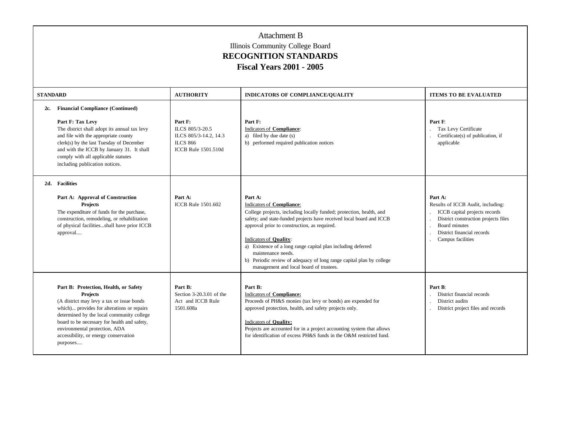| <b>STANDARD</b> |                                                                                                                                                                                                                                                                                                                                        | <b>AUTHORITY</b>                                                                                     | <b>INDICATORS OF COMPLIANCE/OUALITY</b>                                                                                                                                                                                                                                                                                                                                                                                                                                | <b>ITEMS TO BE EVALUATED</b>                                                                                                                                                                     |
|-----------------|----------------------------------------------------------------------------------------------------------------------------------------------------------------------------------------------------------------------------------------------------------------------------------------------------------------------------------------|------------------------------------------------------------------------------------------------------|------------------------------------------------------------------------------------------------------------------------------------------------------------------------------------------------------------------------------------------------------------------------------------------------------------------------------------------------------------------------------------------------------------------------------------------------------------------------|--------------------------------------------------------------------------------------------------------------------------------------------------------------------------------------------------|
| 2c.             | <b>Financial Compliance (Continued)</b><br>Part F: Tax Levy<br>The district shall adopt its annual tax levy<br>and file with the appropriate county<br>clerk(s) by the last Tuesday of December<br>and with the ICCB by January 31. It shall<br>comply with all applicable statutes<br>including publication notices.                  | Part F:<br>ILCS 805/3-20.5<br>ILCS 805/3-14.2, 14.3<br><b>ILCS 866</b><br><b>ICCB Rule 1501.510d</b> | Part F:<br>Indicators of Compliance:<br>a) filed by due date (s)<br>b) performed required publication notices                                                                                                                                                                                                                                                                                                                                                          | Part F:<br>Tax Levy Certificate<br>Certificate(s) of publication, if<br>applicable                                                                                                               |
|                 | 2d. Facilities<br>Part A: Approval of Construction<br><b>Projects</b><br>The expenditure of funds for the purchase,<br>construction, remodeling, or rehabilitation<br>of physical facilitiesshall have prior ICCB<br>approval                                                                                                          | Part A:<br><b>ICCB</b> Rule 1501.602                                                                 | Part A:<br>Indicators of Compliance:<br>College projects, including locally funded; protection, health, and<br>safety; and state-funded projects have received local board and ICCB<br>approval prior to construction, as required.<br>Indicators of Quality:<br>a) Existence of a long range capital plan including deferred<br>maintenance needs.<br>b) Periodic review of adequacy of long range capital plan by college<br>management and local board of trustees. | Part A:<br>Results of ICCB Audit, including:<br>ICCB capital projects records<br>District construction projects files<br><b>Board minutes</b><br>District financial records<br>Campus facilities |
|                 | Part B: Protection, Health, or Safety<br><b>Projects</b><br>(A district may levy a tax or issue bonds<br>which) provides for alterations or repairs<br>determined by the local community college<br>board to be necessary for health and safety,<br>environmental protection, ADA<br>accessibility, or energy conservation<br>purposes | Part B:<br>Section 3-20.3.01 of the<br>Act and ICCB Rule<br>1501.608a                                | Part B:<br>Indicators of Compliance:<br>Proceeds of PH&S monies (tax levy or bonds) are expended for<br>approved protection, health, and safety projects only.<br><b>Indicators of Quality:</b><br>Projects are accounted for in a project accounting system that allows<br>for identification of excess PH&S funds in the O&M restricted fund.                                                                                                                        | Part B:<br>District financial records<br>District audits<br>District project files and records                                                                                                   |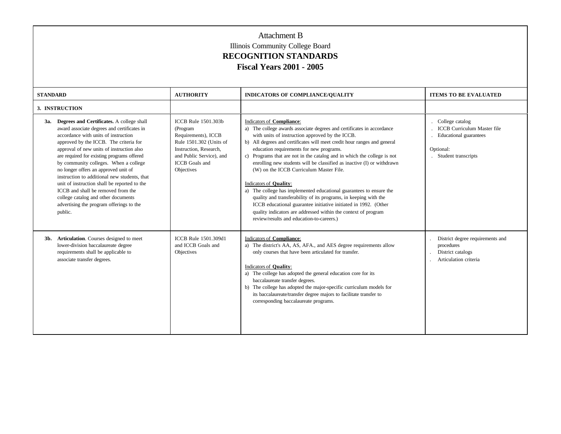| <b>STANDARD</b>                                                                                                                                                                                                                                                                                                                                                                                                                                                                                                                                                                                | <b>AUTHORITY</b>                                                                                                                                                               | <b>INDICATORS OF COMPLIANCE/OUALITY</b>                                                                                                                                                                                                                                                                                                                                                                                                                                                                                                                                                                                                                                                                                                                                                                                                       | <b>ITEMS TO BE EVALUATED</b>                                                                                        |
|------------------------------------------------------------------------------------------------------------------------------------------------------------------------------------------------------------------------------------------------------------------------------------------------------------------------------------------------------------------------------------------------------------------------------------------------------------------------------------------------------------------------------------------------------------------------------------------------|--------------------------------------------------------------------------------------------------------------------------------------------------------------------------------|-----------------------------------------------------------------------------------------------------------------------------------------------------------------------------------------------------------------------------------------------------------------------------------------------------------------------------------------------------------------------------------------------------------------------------------------------------------------------------------------------------------------------------------------------------------------------------------------------------------------------------------------------------------------------------------------------------------------------------------------------------------------------------------------------------------------------------------------------|---------------------------------------------------------------------------------------------------------------------|
| 3. INSTRUCTION                                                                                                                                                                                                                                                                                                                                                                                                                                                                                                                                                                                 |                                                                                                                                                                                |                                                                                                                                                                                                                                                                                                                                                                                                                                                                                                                                                                                                                                                                                                                                                                                                                                               |                                                                                                                     |
| 3a. Degrees and Certificates. A college shall<br>award associate degrees and certificates in<br>accordance with units of instruction<br>approved by the ICCB. The criteria for<br>approval of new units of instruction also<br>are required for existing programs offered<br>by community colleges. When a college<br>no longer offers an approved unit of<br>instruction to additional new students, that<br>unit of instruction shall be reported to the<br>ICCB and shall be removed from the<br>college catalog and other documents<br>advertising the program offerings to the<br>public. | ICCB Rule 1501.303b<br>(Program<br>Requirements), ICCB<br>Rule 1501.302 (Units of<br>Instruction, Research.<br>and Public Service), and<br><b>ICCB</b> Goals and<br>Objectives | Indicators of Compliance:<br>a) The college awards associate degrees and certificates in accordance<br>with units of instruction approved by the ICCB.<br>b) All degrees and certificates will meet credit hour ranges and general<br>education requirements for new programs.<br>c) Programs that are not in the catalog and in which the college is not<br>enrolling new students will be classified as inactive (I) or withdrawn<br>(W) on the ICCB Curriculum Master File.<br>Indicators of <b>Quality</b> :<br>a) The college has implemented educational guarantees to ensure the<br>quality and transferability of its programs, in keeping with the<br>ICCB educational guarantee initiative initiated in 1992. (Other<br>quality indicators are addressed within the context of program<br>review/results and education-to-careers.) | College catalog<br><b>ICCB</b> Curriculum Master file<br>Educational guarantees<br>Optional:<br>Student transcripts |
| 3b. Articulation. Courses designed to meet<br>lower-division baccalaureate degree<br>requirements shall be applicable to<br>associate transfer degrees.                                                                                                                                                                                                                                                                                                                                                                                                                                        | ICCB Rule 1501.309d1<br>and ICCB Goals and<br>Objectives                                                                                                                       | Indicators of Compliance:<br>a) The district's AA, AS, AFA., and AES degree requirements allow<br>only courses that have been articulated for transfer.<br>Indicators of <b>Quality</b> :<br>a) The college has adopted the general education core for its<br>baccalaureate transfer degrees.<br>b) The college has adopted the major-specific curriculum models for<br>its baccalaureate/transfer degree majors to facilitate transfer to<br>corresponding baccalaureate programs.                                                                                                                                                                                                                                                                                                                                                           | District degree requirements and<br>procedures<br>District catalogs<br>Articulation criteria                        |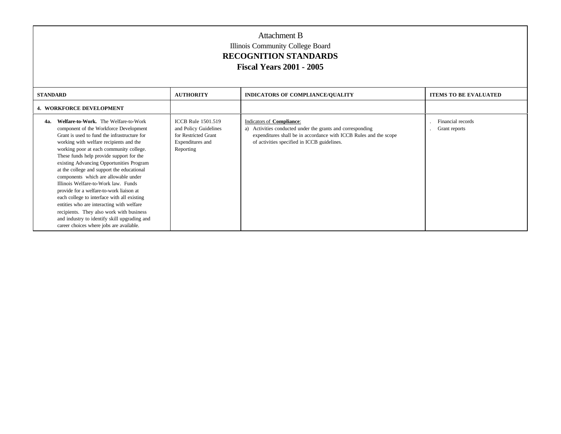| <b>STANDARD</b> |                                                                                                                                                                                                                                                                                                                                                                                                                                                                                                                                                                                                                                                                                                                           | <b>AUTHORITY</b>                                                                                            | <b>INDICATORS OF COMPLIANCE/QUALITY</b>                                                                                                                                                                        | <b>ITEMS TO BE EVALUATED</b>       |
|-----------------|---------------------------------------------------------------------------------------------------------------------------------------------------------------------------------------------------------------------------------------------------------------------------------------------------------------------------------------------------------------------------------------------------------------------------------------------------------------------------------------------------------------------------------------------------------------------------------------------------------------------------------------------------------------------------------------------------------------------------|-------------------------------------------------------------------------------------------------------------|----------------------------------------------------------------------------------------------------------------------------------------------------------------------------------------------------------------|------------------------------------|
|                 | <b>4. WORKFORCE DEVELOPMENT</b>                                                                                                                                                                                                                                                                                                                                                                                                                                                                                                                                                                                                                                                                                           |                                                                                                             |                                                                                                                                                                                                                |                                    |
| 4а.             | Welfare-to-Work. The Welfare-to-Work<br>component of the Workforce Development<br>Grant is used to fund the infrastructure for<br>working with welfare recipients and the<br>working poor at each community college.<br>These funds help provide support for the<br>existing Advancing Opportunities Program<br>at the college and support the educational<br>components which are allowable under<br>Illinois Welfare-to-Work law. Funds<br>provide for a welfare-to-work liaison at<br>each college to interface with all existing<br>entities who are interacting with welfare<br>recipients. They also work with business<br>and industry to identify skill upgrading and<br>career choices where jobs are available. | <b>ICCB</b> Rule 1501.519<br>and Policy Guidelines<br>for Restricted Grant<br>Expenditures and<br>Reporting | Indicators of Compliance:<br>Activities conducted under the grants and corresponding<br>a)<br>expenditures shall be in accordance with ICCB Rules and the scope<br>of activities specified in ICCB guidelines. | Financial records<br>Grant reports |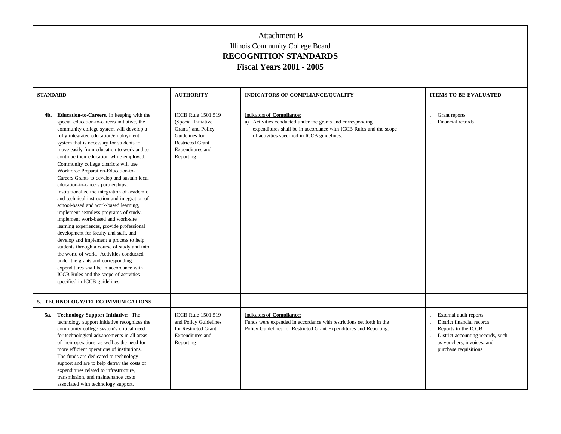| <b>STANDARD</b> |                                                                                                                                                                                                                                                                                                                                                                                                                                                                                                                                                                                                                                                                                                                                                                                                                                                                                                                                                                                                                                                                                                              | <b>AUTHORITY</b>                                                                                                                                     | <b>INDICATORS OF COMPLIANCE/OUALITY</b>                                                                                                                                                                     | <b>ITEMS TO BE EVALUATED</b>                                                                                                                                            |
|-----------------|--------------------------------------------------------------------------------------------------------------------------------------------------------------------------------------------------------------------------------------------------------------------------------------------------------------------------------------------------------------------------------------------------------------------------------------------------------------------------------------------------------------------------------------------------------------------------------------------------------------------------------------------------------------------------------------------------------------------------------------------------------------------------------------------------------------------------------------------------------------------------------------------------------------------------------------------------------------------------------------------------------------------------------------------------------------------------------------------------------------|------------------------------------------------------------------------------------------------------------------------------------------------------|-------------------------------------------------------------------------------------------------------------------------------------------------------------------------------------------------------------|-------------------------------------------------------------------------------------------------------------------------------------------------------------------------|
|                 | 4b. Education-to-Careers. In keeping with the<br>special education-to-careers initiative, the<br>community college system will develop a<br>fully integrated education/employment<br>system that is necessary for students to<br>move easily from education to work and to<br>continue their education while employed.<br>Community college districts will use<br>Workforce Preparation-Education-to-<br>Careers Grants to develop and sustain local<br>education-to-careers partnerships,<br>institutionalize the integration of academic<br>and technical instruction and integration of<br>school-based and work-based learning,<br>implement seamless programs of study,<br>implement work-based and work-site<br>learning experiences, provide professional<br>development for faculty and staff, and<br>develop and implement a process to help<br>students through a course of study and into<br>the world of work. Activities conducted<br>under the grants and corresponding<br>expenditures shall be in accordance with<br>ICCB Rules and the scope of activities<br>specified in ICCB guidelines. | <b>ICCB</b> Rule 1501.519<br>(Special Initiative<br>Grants) and Policy<br>Guidelines for<br><b>Restricted Grant</b><br>Expenditures and<br>Reporting | Indicators of Compliance:<br>a) Activities conducted under the grants and corresponding<br>expenditures shall be in accordance with ICCB Rules and the scope<br>of activities specified in ICCB guidelines. | Grant reports<br>Financial records                                                                                                                                      |
|                 | 5. TECHNOLOGY/TELECOMMUNICATIONS                                                                                                                                                                                                                                                                                                                                                                                                                                                                                                                                                                                                                                                                                                                                                                                                                                                                                                                                                                                                                                                                             |                                                                                                                                                      |                                                                                                                                                                                                             |                                                                                                                                                                         |
|                 | 5a. Technology Support Initiative: The<br>technology support initiative recognizes the<br>community college system's critical need<br>for technological advancements in all areas<br>of their operations, as well as the need for<br>more efficient operations of institutions.<br>The funds are dedicated to technology<br>support and are to help defray the costs of<br>expenditures related to infrastructure,<br>transmission, and maintenance costs<br>associated with technology support.                                                                                                                                                                                                                                                                                                                                                                                                                                                                                                                                                                                                             | ICCB Rule 1501.519<br>and Policy Guidelines<br>for Restricted Grant<br>Expenditures and<br>Reporting                                                 | Indicators of Compliance:<br>Funds were expended in accordance with restrictions set forth in the<br>Policy Guidelines for Restricted Grant Expenditures and Reporting.                                     | External audit reports<br>District financial records<br>Reports to the ICCB<br>District accounting records, such<br>as vouchers, invoices, and<br>purchase requisitions |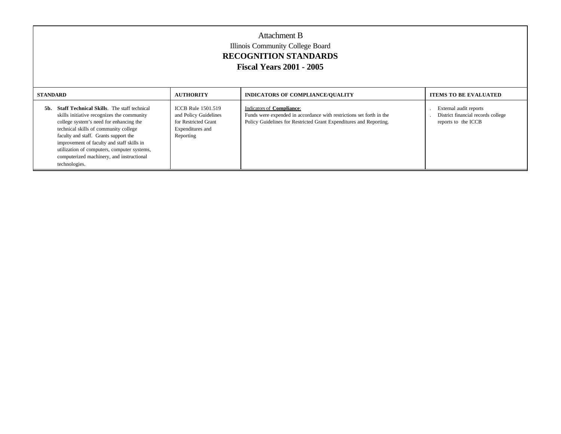| Attachment B<br>Illinois Community College Board<br><b>RECOGNITION STANDARDS</b><br><b>Fiscal Years 2001 - 2005</b>                                                                                                                                                                                                                                                                             |                                                                                                             |                                                                                                                                                                         |                                                                                     |  |  |
|-------------------------------------------------------------------------------------------------------------------------------------------------------------------------------------------------------------------------------------------------------------------------------------------------------------------------------------------------------------------------------------------------|-------------------------------------------------------------------------------------------------------------|-------------------------------------------------------------------------------------------------------------------------------------------------------------------------|-------------------------------------------------------------------------------------|--|--|
| <b>STANDARD</b>                                                                                                                                                                                                                                                                                                                                                                                 | <b>AUTHORITY</b><br>INDICATORS OF COMPLIANCE/QUALITY<br><b>ITEMS TO BE EVALUATED</b>                        |                                                                                                                                                                         |                                                                                     |  |  |
| <b>Staff Technical Skills.</b> The staff technical<br>5b.<br>skills initiative recognizes the community<br>college system's need for enhancing the<br>technical skills of community college<br>faculty and staff. Grants support the<br>improvement of faculty and staff skills in<br>utilization of computers, computer systems,<br>computerized machinery, and instructional<br>technologies. | <b>ICCB Rule 1501.519</b><br>and Policy Guidelines<br>for Restricted Grant<br>Expenditures and<br>Reporting | Indicators of Compliance:<br>Funds were expended in accordance with restrictions set forth in the<br>Policy Guidelines for Restricted Grant Expenditures and Reporting. | External audit reports<br>District financial records college<br>reports to the ICCB |  |  |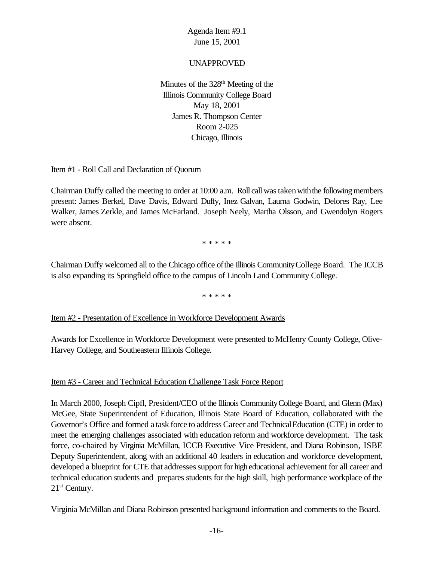### UNAPPROVED

Minutes of the 328<sup>th</sup> Meeting of the Illinois Community College Board May 18, 2001 James R. Thompson Center Room 2-025 Chicago, Illinois

#### Item #1 - Roll Call and Declaration of Quorum

Chairman Duffy called the meeting to order at 10:00 a.m. Roll call was taken with the following members present: James Berkel, Dave Davis, Edward Duffy, Inez Galvan, Laurna Godwin, Delores Ray, Lee Walker, James Zerkle, and James McFarland. Joseph Neely, Martha Olsson, and Gwendolyn Rogers were absent.

\* \* \* \* \*

Chairman Duffy welcomed all to the Chicago office ofthe Illinois CommunityCollege Board. The ICCB is also expanding its Springfield office to the campus of Lincoln Land Community College.

\* \* \* \* \*

### Item #2 - Presentation of Excellence in Workforce Development Awards

Awards for Excellence in Workforce Development were presented to McHenry County College, Olive-Harvey College, and Southeastern Illinois College.

### Item #3 - Career and Technical Education Challenge Task Force Report

In March 2000, Joseph Cipfl, President/CEO ofthe Illinois CommunityCollege Board, and Glenn (Max) McGee, State Superintendent of Education, Illinois State Board of Education, collaborated with the Governor's Office and formed a task force to address Career and TechnicalEducation (CTE) in order to meet the emerging challenges associated with education reform and workforce development. The task force, co-chaired by Virginia McMillan, ICCB Executive Vice President, and Diana Robinson, ISBE Deputy Superintendent, along with an additional 40 leaders in education and workforce development, developed a blueprint for CTE that addresses support for high educational achievement for all career and technical education students and prepares students for the high skill, high performance workplace of the 21<sup>st</sup> Century.

Virginia McMillan and Diana Robinson presented background information and comments to the Board.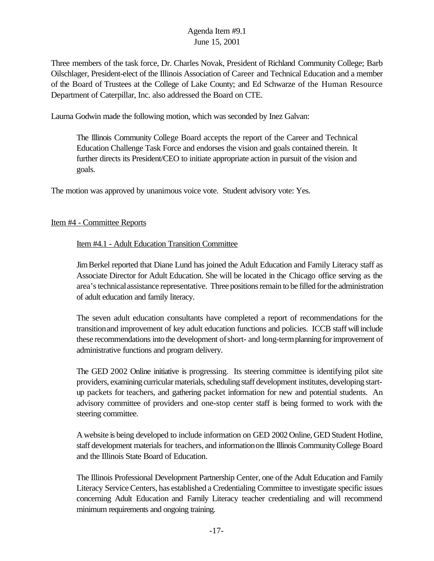Three members of the task force, Dr. Charles Novak, President of Richland Community College; Barb Oilschlager, President-elect of the Illinois Association of Career and Technical Education and a member of the Board of Trustees at the College of Lake County; and Ed Schwarze of the Human Resource Department of Caterpillar, Inc. also addressed the Board on CTE.

Laurna Godwin made the following motion, which was seconded by Inez Galvan:

The Illinois Community College Board accepts the report of the Career and Technical Education Challenge Task Force and endorses the vision and goals contained therein. It further directs its President/CEO to initiate appropriate action in pursuit of the vision and goals.

The motion was approved by unanimous voice vote. Student advisory vote: Yes.

### Item #4 - Committee Reports

## Item #4.1 - Adult Education Transition Committee

JimBerkel reported that Diane Lund has joined the Adult Education and Family Literacy staff as Associate Director for Adult Education. She will be located in the Chicago office serving as the area's technical assistance representative. Three positions remain to be filled for the administration of adult education and family literacy.

The seven adult education consultants have completed a report of recommendations for the transitionand improvement of key adult education functions and policies. ICCB staff willinclude these recommendations into the development of short- and long-term planning for improvement of administrative functions and program delivery.

The GED 2002 Online initiative is progressing. Its steering committee is identifying pilot site providers, examining curricular materials, scheduling staff development institutes, developing startup packets for teachers, and gathering packet information for new and potential students. An advisory committee of providers and one-stop center staff is being formed to work with the steering committee.

A website is being developed to include information on GED 2002 Online, GED Student Hotline, staff development materials for teachers, and informationonthe Illinois CommunityCollege Board and the Illinois State Board of Education.

The Illinois Professional Development Partnership Center, one ofthe Adult Education and Family Literacy ServiceCenters, has established a Credentialing Committee to investigate specific issues concerning Adult Education and Family Literacy teacher credentialing and will recommend minimum requirements and ongoing training.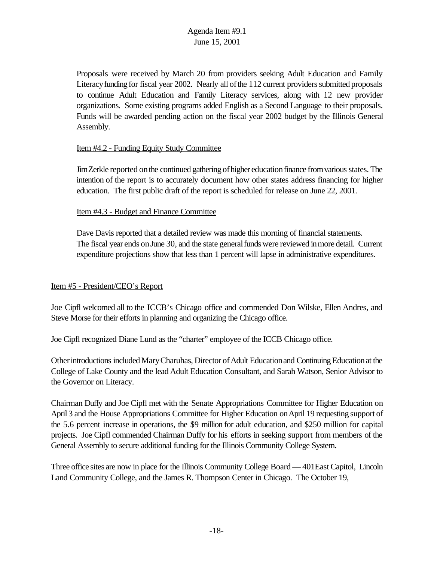Proposals were received by March 20 from providers seeking Adult Education and Family Literacy funding for fiscal year 2002. Nearly all of the 112 current providers submitted proposals to continue Adult Education and Family Literacy services, along with 12 new provider organizations. Some existing programs added English as a Second Language to their proposals. Funds will be awarded pending action on the fiscal year 2002 budget by the Illinois General Assembly.

#### Item #4.2 - Funding Equity Study Committee

JimZerkle reported onthe continued gathering ofhigher educationfinance fromvarious states. The intention of the report is to accurately document how other states address financing for higher education. The first public draft of the report is scheduled for release on June 22, 2001.

#### Item #4.3 - Budget and Finance Committee

Dave Davis reported that a detailed review was made this morning of financial statements. The fiscal year ends on June 30, and the state general funds were reviewed in more detail. Current expenditure projections show that less than 1 percent will lapse in administrative expenditures.

#### Item #5 - President/CEO's Report

Joe Cipfl welcomed all to the ICCB's Chicago office and commended Don Wilske, Ellen Andres, and Steve Morse for their efforts in planning and organizing the Chicago office.

Joe Cipfl recognized Diane Lund as the "charter" employee of the ICCB Chicago office.

Other introductions included Mary Charuhas, Director of Adult Education and Continuing Education at the College of Lake County and the lead Adult Education Consultant, and Sarah Watson, Senior Advisor to the Governor on Literacy.

Chairman Duffy and Joe Cipfl met with the Senate Appropriations Committee for Higher Education on April 3 and the House Appropriations Committee for Higher Education onApril 19 requesting support of the 5.6 percent increase in operations, the \$9 million for adult education, and \$250 million for capital projects. Joe Cipfl commended Chairman Duffy for his efforts in seeking support from members of the General Assembly to secure additional funding for the Illinois Community College System.

Three office sites are now in place for the Illinois Community College Board — 401East Capitol, Lincoln Land Community College, and the James R. Thompson Center in Chicago. The October 19,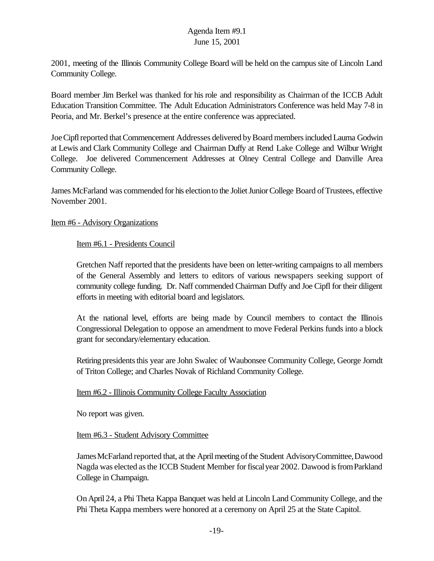2001, meeting of the Illinois Community College Board will be held on the campus site of Lincoln Land Community College.

Board member Jim Berkel was thanked for his role and responsibility as Chairman of the ICCB Adult Education Transition Committee. The Adult Education Administrators Conference was held May 7-8 in Peoria, and Mr. Berkel's presence at the entire conference was appreciated.

JoeCipflreported thatCommencement Addresses delivered byBoard membersincludedLaurna Godwin at Lewis and Clark Community College and Chairman Duffy at Rend Lake College and Wilbur Wright College. Joe delivered Commencement Addresses at Olney Central College and Danville Area Community College.

James McFarland was commended for his election to the Joliet Junior College Board of Trustees, effective November 2001.

Item #6 - Advisory Organizations

Item #6.1 - Presidents Council

Gretchen Naff reported that the presidents have been on letter-writing campaigns to all members of the General Assembly and letters to editors of various newspapers seeking support of community college funding. Dr. Naff commended Chairman Duffy and Joe Cipfl for their diligent efforts in meeting with editorial board and legislators.

At the national level, efforts are being made by Council members to contact the Illinois Congressional Delegation to oppose an amendment to move Federal Perkins funds into a block grant for secondary/elementary education.

Retiring presidents this year are John Swalec of Waubonsee Community College, George Jorndt of Triton College; and Charles Novak of Richland Community College.

### Item #6.2 - Illinois Community College Faculty Association

No report was given.

Item #6.3 - Student Advisory Committee

James McFarland reported that, at the April meeting of the Student Advisory Committee, Dawood Nagda was elected as the ICCB Student Member for fiscal year 2002. Dawood is from Parkland College in Champaign.

OnApril 24, a Phi Theta Kappa Banquet was held at Lincoln Land Community College, and the Phi Theta Kappa members were honored at a ceremony on April 25 at the State Capitol.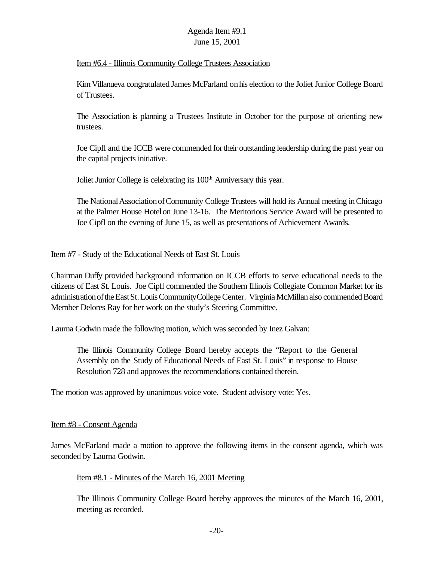#### Item #6.4 - Illinois Community College Trustees Association

KimVillanueva congratulated James McFarland onhis election to the Joliet Junior College Board of Trustees.

The Association is planning a Trustees Institute in October for the purpose of orienting new trustees.

Joe Cipfl and the ICCB were commended fortheir outstanding leadership during the past year on the capital projects initiative.

Joliet Junior College is celebrating its 100<sup>th</sup> Anniversary this year.

The National Association of Community College Trustees will hold its Annual meeting in Chicago at the Palmer House Hotelon June 13-16. The Meritorious Service Award will be presented to Joe Cipfl on the evening of June 15, as well as presentations of Achievement Awards.

#### Item #7 - Study of the Educational Needs of East St. Louis

Chairman Duffy provided background information on ICCB efforts to serve educational needs to the citizens of East St. Louis. Joe Cipfl commended the Southern Illinois Collegiate Common Market for its administrationoftheEastSt.LouisCommunityCollegeCenter. Virginia McMillan also commended Board Member Delores Ray for her work on the study's Steering Committee.

Laurna Godwin made the following motion, which was seconded by Inez Galvan:

The Illinois Community College Board hereby accepts the "Report to the General Assembly on the Study of Educational Needs of East St. Louis" in response to House Resolution 728 and approves the recommendations contained therein.

The motion was approved by unanimous voice vote. Student advisory vote: Yes.

#### Item #8 - Consent Agenda

James McFarland made a motion to approve the following items in the consent agenda, which was seconded by Laurna Godwin.

#### Item #8.1 - Minutes of the March 16, 2001 Meeting

The Illinois Community College Board hereby approves the minutes of the March 16, 2001, meeting as recorded.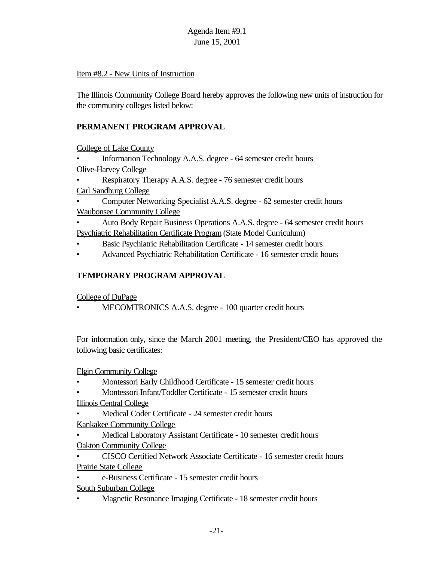## Item #8.2 - New Units of Instruction

The Illinois Community College Board hereby approves the following new units of instruction for the community colleges listed below:

# **PERMANENT PROGRAM APPROVAL**

College of Lake County

• Information Technology A.A.S. degree - 64 semester credit hours Olive-Harvey College

• Respiratory Therapy A.A.S. degree - 76 semester credit hours Carl Sandburg College

• Computer Networking Specialist A.A.S. degree - 62 semester credit hours Waubonsee Community College

• Auto Body Repair Business Operations A.A.S. degree - 64 semester credit hours Psychiatric Rehabilitation Certificate Program (State Model Curriculum)

- Basic Psychiatric Rehabilitation Certificate 14 semester credit hours
- Advanced Psychiatric Rehabilitation Certificate 16 semester credit hours

## **TEMPORARY PROGRAM APPROVAL**

College of DuPage

• MECOMTRONICS A.A.S. degree - 100 quarter credit hours

For information only, since the March 2001 meeting, the President/CEO has approved the following basic certificates:

Elgin Community College

- Montessori Early Childhood Certificate 15 semester credit hours
- Montessori Infant/Toddler Certificate 15 semester credit hours Illinois Central College
- Medical Coder Certificate 24 semester credit hours

Kankakee Community College

- Medical Laboratory Assistant Certificate 10 semester credit hours Oakton Community College
- CISCO Certified Network Associate Certificate 16 semester credit hours Prairie State College
- e-Business Certificate 15 semester credit hours
- South Suburban College
- Magnetic Resonance Imaging Certificate 18 semester credit hours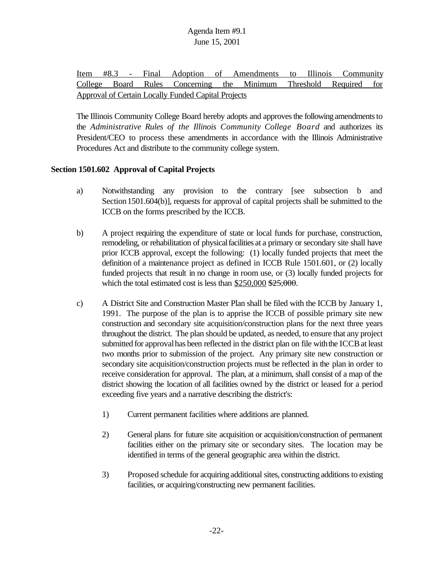Item #8.3 - Final Adoption of Amendments to Illinois Community College Board Rules Concerning the Minimum Threshold Required for Approval of Certain Locally Funded Capital Projects

The Illinois Community College Board hereby adopts and approves the following amendments to the *Administrative Rules of the Illinois Community College Board* and authorizes its President/CEO to process these amendments in accordance with the Illinois Administrative Procedures Act and distribute to the community college system.

### **Section 1501.602 Approval of Capital Projects**

- a) Notwithstanding any provision to the contrary [see subsection b and Section 1501.604(b)], requests for approval of capital projects shall be submitted to the ICCB on the forms prescribed by the ICCB.
- b) A project requiring the expenditure of state or local funds for purchase, construction, remodeling, or rehabilitation of physical facilities at a primary or secondary site shall have prior ICCB approval, except the following: (1) locally funded projects that meet the definition of a maintenance project as defined in ICCB Rule 1501.601, or (2) locally funded projects that result in no change in room use, or (3) locally funded projects for which the total estimated cost is less than  $$250,000$   $$25,000$ .
- c) A District Site and Construction Master Plan shall be filed with the ICCB by January 1, 1991. The purpose of the plan is to apprise the ICCB of possible primary site new construction and secondary site acquisition/construction plans for the next three years throughout the district. The plan should be updated, as needed, to ensure that any project submitted for approvalhas been reflected in the district plan on file withthe ICCBat least two months prior to submission of the project. Any primary site new construction or secondary site acquisition/construction projects must be reflected in the plan in order to receive consideration for approval. The plan, at a minimum, shall consist of a map of the district showing the location of all facilities owned by the district or leased for a period exceeding five years and a narrative describing the district's:
	- 1) Current permanent facilities where additions are planned.
	- 2) General plans for future site acquisition or acquisition/construction of permanent facilities either on the primary site or secondary sites. The location may be identified in terms of the general geographic area within the district.
	- 3) Proposed schedule for acquiring additional sites, constructing additions to existing facilities, or acquiring/constructing new permanent facilities.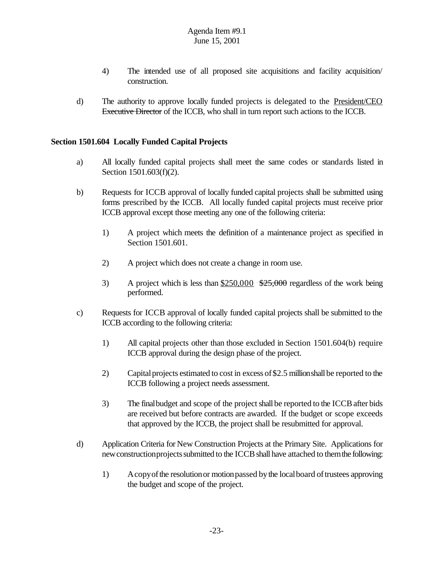- 4) The intended use of all proposed site acquisitions and facility acquisition/ construction.
- d) The authority to approve locally funded projects is delegated to the President/CEO Executive Director of the ICCB, who shall in turn report such actions to the ICCB.

#### **Section 1501.604 Locally Funded Capital Projects**

- a) All locally funded capital projects shall meet the same codes or standards listed in Section 1501.603(f)(2).
- b) Requests for ICCB approval of locally funded capital projects shall be submitted using forms prescribed by the ICCB. All locally funded capital projects must receive prior ICCB approval except those meeting any one of the following criteria:
	- 1) A project which meets the definition of a maintenance project as specified in Section 1501.601.
	- 2) A project which does not create a change in room use.
	- 3) A project which is less than  $$250,000$   $$25,000$  regardless of the work being performed.
- c) Requests for ICCB approval of locally funded capital projects shall be submitted to the ICCB according to the following criteria:
	- 1) All capital projects other than those excluded in Section 1501.604(b) require ICCB approval during the design phase of the project.
	- 2) Capital projects estimated to cost in excess of \$2.5 millionshall be reported to the ICCB following a project needs assessment.
	- 3) The final budget and scope of the project shall be reported to the ICCB after bids are received but before contracts are awarded. If the budget or scope exceeds that approved by the ICCB, the project shall be resubmitted for approval.
- d) Application Criteria for New Construction Projects at the Primary Site. Applications for new construction projects submitted to the ICCB shall have attached to them the following:
	- 1) Acopyofthe resolutionor motionpassed bythe localboard oftrustees approving the budget and scope of the project.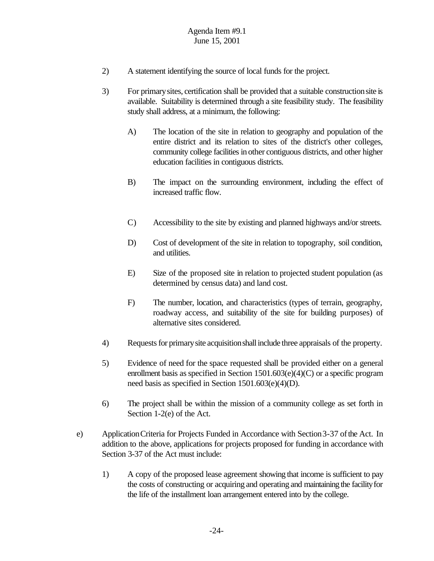- 2) A statement identifying the source of local funds for the project.
- 3) For primarysites, certification shall be provided that a suitable constructionsite is available. Suitability is determined through a site feasibility study. The feasibility study shall address, at a minimum, the following:
	- A) The location of the site in relation to geography and population of the entire district and its relation to sites of the district's other colleges, community college facilities in other contiguous districts, and other higher education facilities in contiguous districts.
	- B) The impact on the surrounding environment, including the effect of increased traffic flow.
	- C) Accessibility to the site by existing and planned highways and/or streets.
	- D) Cost of development of the site in relation to topography, soil condition, and utilities.
	- E) Size of the proposed site in relation to projected student population (as determined by census data) and land cost.
	- F) The number, location, and characteristics (types of terrain, geography, roadway access, and suitability of the site for building purposes) of alternative sites considered.
- 4) Requests for primary site acquisition shall include three appraisals of the property.
- 5) Evidence of need for the space requested shall be provided either on a general enrollment basis as specified in Section  $1501.603(e)(4)(C)$  or a specific program need basis as specified in Section 1501.603(e)(4)(D).
- 6) The project shall be within the mission of a community college as set forth in Section 1-2(e) of the Act.
- e) ApplicationCriteria for Projects Funded in Accordance with Section3-37 ofthe Act. In addition to the above, applications for projects proposed for funding in accordance with Section 3-37 of the Act must include:
	- 1) A copy of the proposed lease agreement showing that income is sufficient to pay the costs of constructing or acquiring and operating and maintaining the facilityfor the life of the installment loan arrangement entered into by the college.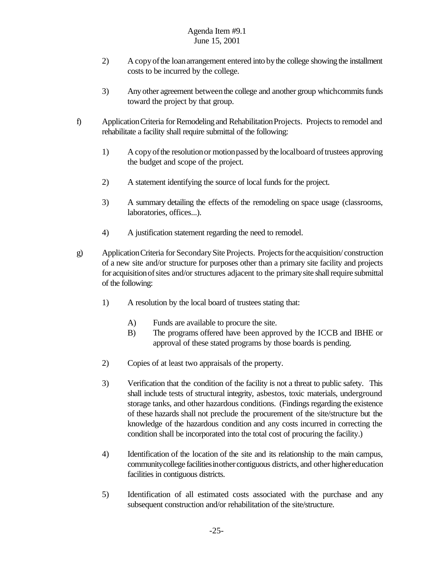- 2) A copyofthe loanarrangement entered into bythe college showing the installment costs to be incurred by the college.
- 3) Any other agreement between the college and another group which commits funds toward the project by that group.
- f) Application Criteria for Remodeling and Rehabilitation Projects. Projects to remodel and rehabilitate a facility shall require submittal of the following:
	- 1) A copy of the resolution or motion passed by the localboard of trustees approving the budget and scope of the project.
	- 2) A statement identifying the source of local funds for the project.
	- 3) A summary detailing the effects of the remodeling on space usage (classrooms, laboratories, offices...).
	- 4) A justification statement regarding the need to remodel.
- g) ApplicationCriteria for SecondarySite Projects. Projects for the acquisition/ construction of a new site and/or structure for purposes other than a primary site facility and projects for acquisition of sites and/or structures adjacent to the primary site shall require submittal of the following:
	- 1) A resolution by the local board of trustees stating that:
		- A) Funds are available to procure the site.
		- B) The programs offered have been approved by the ICCB and IBHE or approval of these stated programs by those boards is pending.
	- 2) Copies of at least two appraisals of the property.
	- 3) Verification that the condition of the facility is not a threat to public safety. This shall include tests of structural integrity, asbestos, toxic materials, underground storage tanks, and other hazardous conditions. (Findings regarding the existence of these hazards shall not preclude the procurement of the site/structure but the knowledge of the hazardous condition and any costs incurred in correcting the condition shall be incorporated into the total cost of procuring the facility.)
	- 4) Identification of the location of the site and its relationship to the main campus, communitycollege facilitiesinothercontiguous districts, and other highereducation facilities in contiguous districts.
	- 5) Identification of all estimated costs associated with the purchase and any subsequent construction and/or rehabilitation of the site/structure.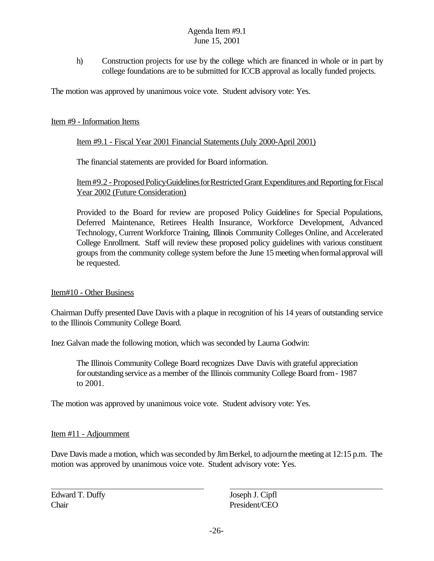h) Construction projects for use by the college which are financed in whole or in part by college foundations are to be submitted for ICCB approval as locally funded projects.

The motion was approved by unanimous voice vote. Student advisory vote: Yes.

### Item #9 - Information Items

### Item #9.1 - Fiscal Year 2001 Financial Statements (July 2000-April 2001)

The financial statements are provided for Board information.

### Item#9.2 - Proposed Policy Guidelines for Restricted Grant Expenditures and Reporting for Fiscal Year 2002 (Future Consideration)

Provided to the Board for review are proposed Policy Guidelines for Special Populations, Deferred Maintenance, Retirees Health Insurance, Workforce Development, Advanced Technology, Current Workforce Training, Illinois Community Colleges Online, and Accelerated College Enrollment. Staff will review these proposed policy guidelines with various constituent groups from the community college system before the June 15meetingwhenformalapproval will be requested.

### Item#10 - Other Business

Chairman Duffy presented Dave Davis with a plaque in recognition of his 14 years of outstanding service to the Illinois Community College Board.

Inez Galvan made the following motion, which was seconded by Laurna Godwin:

The Illinois Community College Board recognizes Dave Davis with grateful appreciation for outstanding service as a member of the Illinois community College Board from- 1987 to 2001.

The motion was approved by unanimous voice vote. Student advisory vote: Yes.

### Item #11 - Adjournment

Dave Davis made a motion, which was seconded by Jim Berkel, to adjourn the meeting at 12:15 p.m. The motion was approved by unanimous voice vote. Student advisory vote: Yes.

Edward T. Duffy Joseph J. Cipfl Chair President/CEO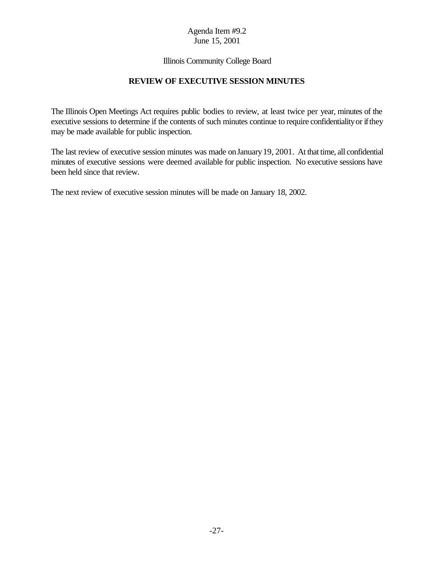#### Illinois Community College Board

### **REVIEW OF EXECUTIVE SESSION MINUTES**

The Illinois Open Meetings Act requires public bodies to review, at least twice per year, minutes of the executive sessions to determine if the contents of such minutes continue to require confidentiality or if they may be made available for public inspection.

The last review of executive session minutes was made on January 19, 2001. At that time, all confidential minutes of executive sessions were deemed available for public inspection. No executive sessions have been held since that review.

The next review of executive session minutes will be made on January 18, 2002.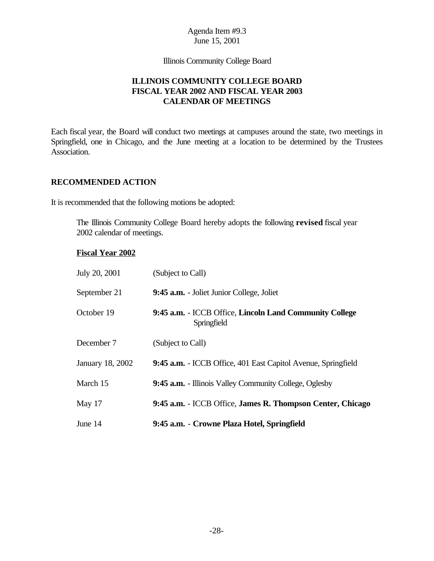Illinois Community College Board

## **ILLINOIS COMMUNITY COLLEGE BOARD FISCAL YEAR 2002 AND FISCAL YEAR 2003 CALENDAR OF MEETINGS**

Each fiscal year, the Board will conduct two meetings at campuses around the state, two meetings in Springfield, one in Chicago, and the June meeting at a location to be determined by the Trustees Association.

#### **RECOMMENDED ACTION**

It is recommended that the following motions be adopted:

The Illinois Community College Board hereby adopts the following **revised** fiscal year 2002 calendar of meetings.

#### **Fiscal Year 2002**

| July 20, 2001    | (Subject to Call)                                                      |
|------------------|------------------------------------------------------------------------|
| September 21     | 9:45 a.m. - Joliet Junior College, Joliet                              |
| October 19       | 9:45 a.m. - ICCB Office, Lincoln Land Community College<br>Springfield |
| December 7       | (Subject to Call)                                                      |
| January 18, 2002 | 9:45 a.m. - ICCB Office, 401 East Capitol Avenue, Springfield          |
| March 15         | 9:45 a.m. - Illinois Valley Community College, Oglesby                 |
| May 17           | 9:45 a.m. - ICCB Office, James R. Thompson Center, Chicago             |
| June 14          | 9:45 a.m. - Crowne Plaza Hotel, Springfield                            |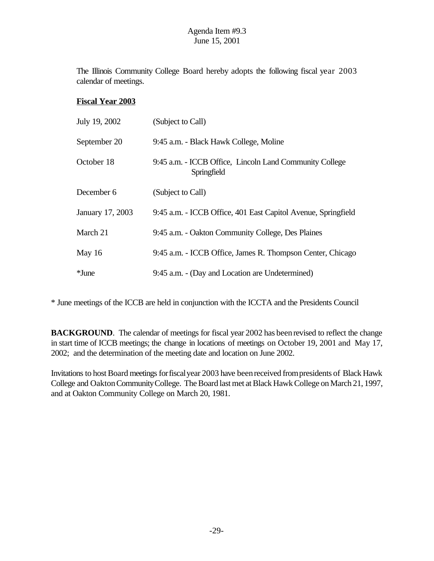The Illinois Community College Board hereby adopts the following fiscal year 2003 calendar of meetings.

### **Fiscal Year 2003**

| July 19, 2002    | (Subject to Call)                                                      |
|------------------|------------------------------------------------------------------------|
| September 20     | 9:45 a.m. - Black Hawk College, Moline                                 |
| October 18       | 9:45 a.m. - ICCB Office, Lincoln Land Community College<br>Springfield |
| December 6       | (Subject to Call)                                                      |
| January 17, 2003 | 9:45 a.m. - ICCB Office, 401 East Capitol Avenue, Springfield          |
| March 21         | 9:45 a.m. - Oakton Community College, Des Plaines                      |
| May 16           | 9:45 a.m. - ICCB Office, James R. Thompson Center, Chicago             |
| $*$ June         | 9:45 a.m. - (Day and Location are Undetermined)                        |

\* June meetings of the ICCB are held in conjunction with the ICCTA and the Presidents Council

**BACKGROUND**. The calendar of meetings for fiscal year 2002 has been revised to reflect the change in start time of ICCB meetings; the change in locations of meetings on October 19, 2001 and May 17, 2002; and the determination of the meeting date and location on June 2002.

Invitations to host Board meetings for fiscal year 2003 have been received from presidents of Black Hawk College and OaktonCommunityCollege. The Board last met at Black Hawk College on March 21, 1997, and at Oakton Community College on March 20, 1981.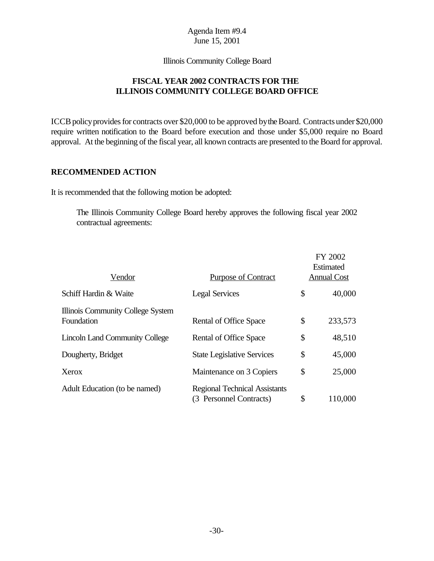Illinois Community College Board

## **FISCAL YEAR 2002 CONTRACTS FOR THE ILLINOIS COMMUNITY COLLEGE BOARD OFFICE**

ICCB policy provides for contracts over \$20,000 to be approved by the Board. Contracts under \$20,000 require written notification to the Board before execution and those under \$5,000 require no Board approval. At the beginning of the fiscal year, all known contracts are presented to the Board for approval.

#### **RECOMMENDED ACTION**

It is recommended that the following motion be adopted:

The Illinois Community College Board hereby approves the following fiscal year 2002 contractual agreements:

|                                                 |                                                                 |    | FY 2002<br>Estimated<br><b>Annual Cost</b> |  |
|-------------------------------------------------|-----------------------------------------------------------------|----|--------------------------------------------|--|
| Vendor                                          | <b>Purpose of Contract</b>                                      |    |                                            |  |
| Schiff Hardin & Waite                           | <b>Legal Services</b>                                           | \$ | 40,000                                     |  |
| Illinois Community College System<br>Foundation | Rental of Office Space                                          | \$ | 233,573                                    |  |
| <b>Lincoln Land Community College</b>           | Rental of Office Space                                          | \$ | 48,510                                     |  |
| Dougherty, Bridget                              | <b>State Legislative Services</b>                               | \$ | 45,000                                     |  |
| Xerox                                           | Maintenance on 3 Copiers                                        | \$ | 25,000                                     |  |
| Adult Education (to be named)                   | <b>Regional Technical Assistants</b><br>(3 Personnel Contracts) | \$ | 110,000                                    |  |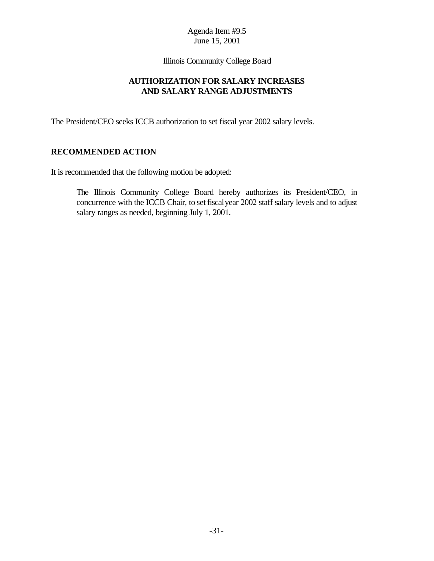Illinois Community College Board

### **AUTHORIZATION FOR SALARY INCREASES AND SALARY RANGE ADJUSTMENTS**

The President/CEO seeks ICCB authorization to set fiscal year 2002 salary levels.

#### **RECOMMENDED ACTION**

It is recommended that the following motion be adopted:

The Illinois Community College Board hereby authorizes its President/CEO, in concurrence with the ICCB Chair, to set fiscalyear 2002 staff salary levels and to adjust salary ranges as needed, beginning July 1, 2001.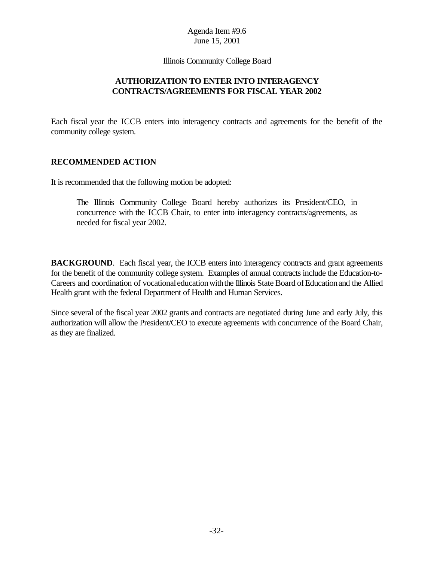Illinois Community College Board

## **AUTHORIZATION TO ENTER INTO INTERAGENCY CONTRACTS/AGREEMENTS FOR FISCAL YEAR 2002**

Each fiscal year the ICCB enters into interagency contracts and agreements for the benefit of the community college system.

### **RECOMMENDED ACTION**

It is recommended that the following motion be adopted:

The Illinois Community College Board hereby authorizes its President/CEO, in concurrence with the ICCB Chair, to enter into interagency contracts/agreements, as needed for fiscal year 2002.

**BACKGROUND.** Each fiscal year, the ICCB enters into interagency contracts and grant agreements for the benefit of the community college system. Examples of annual contracts include the Education-to-Careers and coordination of vocational education with the Illinois State Board of Education and the Allied Health grant with the federal Department of Health and Human Services.

Since several of the fiscal year 2002 grants and contracts are negotiated during June and early July, this authorization will allow the President/CEO to execute agreements with concurrence of the Board Chair, as they are finalized.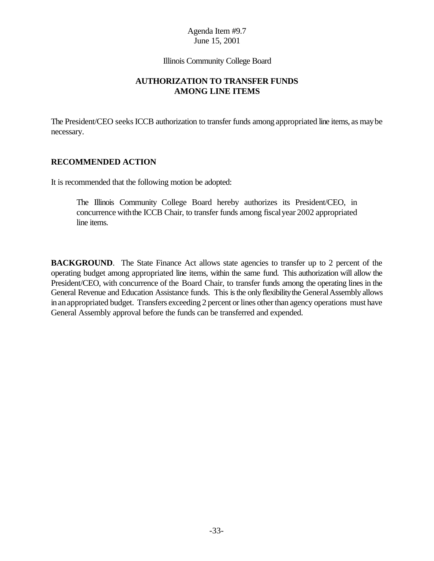Illinois Community College Board

### **AUTHORIZATION TO TRANSFER FUNDS AMONG LINE ITEMS**

The President/CEO seeks ICCB authorization to transfer funds among appropriated line items, as may be necessary.

### **RECOMMENDED ACTION**

It is recommended that the following motion be adopted:

The Illinois Community College Board hereby authorizes its President/CEO, in concurrence withthe ICCB Chair, to transfer funds among fiscalyear 2002 appropriated line items.

**BACKGROUND.** The State Finance Act allows state agencies to transfer up to 2 percent of the operating budget among appropriated line items, within the same fund. This authorization will allow the President/CEO, with concurrence of the Board Chair, to transfer funds among the operating lines in the General Revenue and Education Assistance funds. This is the only flexibility the General Assembly allows inanappropriated budget. Transfers exceeding 2 percent or lines other than agency operations must have General Assembly approval before the funds can be transferred and expended.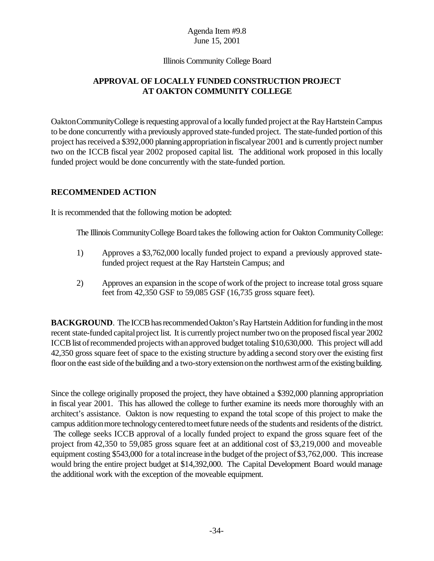#### Illinois Community College Board

## **APPROVAL OF LOCALLY FUNDED CONSTRUCTION PROJECT AT OAKTON COMMUNITY COLLEGE**

OaktonCommunityCollege isrequesting approvalof a locally funded project at the RayHartsteinCampus to be done concurrently witha previously approved state-funded project. The state-funded portion of this project has received a \$392,000 planning appropriation in fiscal year 2001 and is currently project number two on the ICCB fiscal year 2002 proposed capital list. The additional work proposed in this locally funded project would be done concurrently with the state-funded portion.

#### **RECOMMENDED ACTION**

It is recommended that the following motion be adopted:

The Illinois Community College Board takes the following action for Oakton Community College:

- 1) Approves a \$3,762,000 locally funded project to expand a previously approved statefunded project request at the Ray Hartstein Campus; and
- 2) Approves an expansion in the scope ofwork ofthe project to increase total gross square feet from 42,350 GSF to 59,085 GSF (16,735 gross square feet).

**BACKGROUND**. The ICCB has recommended Oakton's Ray Hartstein Addition for funding in the most recent state-funded capital project list. It is currently project number two on the proposed fiscal year 2002 ICCB list of recommended projects with an approved budget totaling \$10,630,000. This project will add 42,350 gross square feet of space to the existing structure byadding a second storyover the existing first floor on the east side of the building and a two-story extension on the northwest arm of the existing building.

Since the college originally proposed the project, they have obtained a \$392,000 planning appropriation in fiscal year 2001. This has allowed the college to further examine its needs more thoroughly with an architect's assistance. Oakton is now requesting to expand the total scope of this project to make the campus addition more technology centered to meet future needs of the students and residents of the district. The college seeks ICCB approval of a locally funded project to expand the gross square feet of the project from 42,350 to 59,085 gross square feet at an additional cost of \$3,219,000 and moveable equipment costing \$543,000 for a total increase in the budget of the project of \$3,762,000. This increase would bring the entire project budget at \$14,392,000. The Capital Development Board would manage the additional work with the exception of the moveable equipment.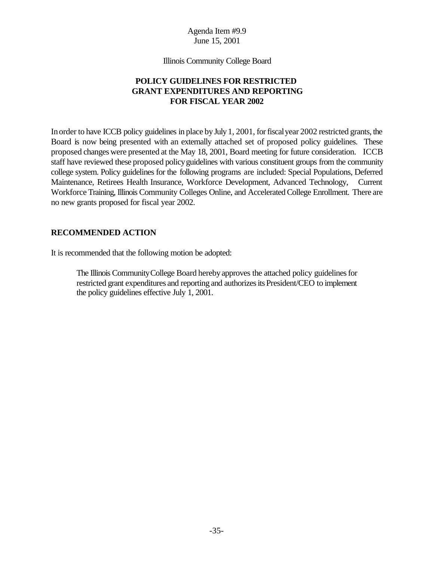Illinois Community College Board

## **POLICY GUIDELINES FOR RESTRICTED GRANT EXPENDITURES AND REPORTING FOR FISCAL YEAR 2002**

In order to have ICCB policy guidelines in place by July 1, 2001, for fiscal year 2002 restricted grants, the Board is now being presented with an externally attached set of proposed policy guidelines. These proposed changes were presented at the May 18, 2001, Board meeting for future consideration. ICCB staff have reviewed these proposed policyguidelines with various constituent groups from the community college system. Policy guidelines for the following programs are included: Special Populations, Deferred Maintenance, Retirees Health Insurance, Workforce Development, Advanced Technology, Current Workforce Training, Illinois Community Colleges Online, and Accelerated College Enrollment. There are no new grants proposed for fiscal year 2002.

### **RECOMMENDED ACTION**

It is recommended that the following motion be adopted:

The Illinois Community College Board hereby approves the attached policy guidelines for restricted grant expenditures and reporting and authorizesits President/CEO to implement the policy guidelines effective July 1, 2001.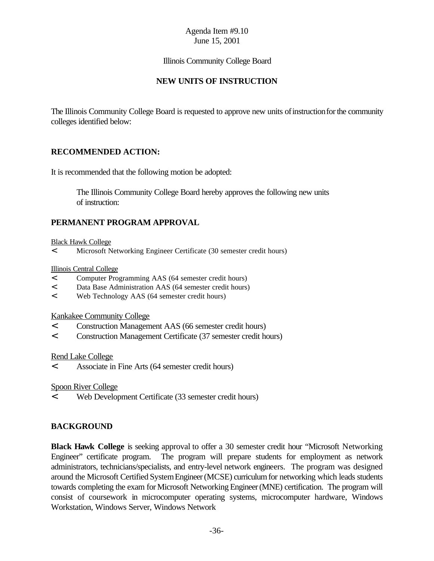Illinois Community College Board

## **NEW UNITS OF INSTRUCTION**

The Illinois Community College Board is requested to approve new units of instruction for the community colleges identified below:

## **RECOMMENDED ACTION:**

It is recommended that the following motion be adopted:

The Illinois Community College Board hereby approves the following new units of instruction:

## **PERMANENT PROGRAM APPROVAL**

#### Black Hawk College

< Microsoft Networking Engineer Certificate (30 semester credit hours)

#### Illinois Central College

- < Computer Programming AAS (64 semester credit hours)
- < Data Base Administration AAS (64 semester credit hours)
- < Web Technology AAS (64 semester credit hours)

Kankakee Community College

- < Construction Management AAS (66 semester credit hours)
- < Construction Management Certificate (37 semester credit hours)

#### Rend Lake College

< Associate in Fine Arts (64 semester credit hours)

Spoon River College

< Web Development Certificate (33 semester credit hours)

### **BACKGROUND**

**Black Hawk College** is seeking approval to offer a 30 semester credit hour "Microsoft Networking Engineer" certificate program. The program will prepare students for employment as network administrators, technicians/specialists, and entry-level network engineers. The program was designed around the Microsoft Certified System Engineer (MCSE) curriculum for networking which leads students towards completing the exam for Microsoft Networking Engineer(MNE) certification. The program will consist of coursework in microcomputer operating systems, microcomputer hardware, Windows Workstation, Windows Server, Windows Network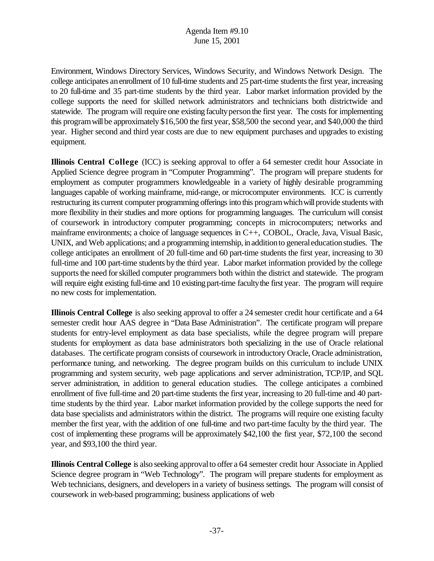Environment, Windows Directory Services, Windows Security, and Windows Network Design. The college anticipates an enrollment of 10 full-time students and 25 part-time students the first year, increasing to 20 full-time and 35 part-time students by the third year. Labor market information provided by the college supports the need for skilled network administrators and technicians both districtwide and statewide. The program will require one existing facultypersonthe first year. The costs for implementing this program will be approximately \$16,500 the first year, \$58,500 the second year, and \$40,000 the third year. Higher second and third year costs are due to new equipment purchases and upgrades to existing equipment.

**Illinois Central College** (ICC) is seeking approval to offer a 64 semester credit hour Associate in Applied Science degree program in "Computer Programming". The program will prepare students for employment as computer programmers knowledgeable in a variety of highly desirable programming languages capable of working mainframe, mid-range, or microcomputer environments. ICC is currently restructuring its current computer programming offerings into this program which will provide students with more flexibility in their studies and more options for programming languages. The curriculum will consist of coursework in introductory computer programming; concepts in microcomputers; networks and mainframe environments; a choice of language sequences in C++, COBOL, Oracle, Java, Visual Basic, UNIX, and Web applications; and a programming internship, in addition to general education studies. The college anticipates an enrollment of 20 full-time and 60 part-time students the first year, increasing to 30 full-time and 100 part-time students bythe third year. Labor market information provided by the college supports the need for skilled computer programmers both within the district and statewide. The program will require eight existing full-time and 10 existing part-time faculty the first year. The program will require no new costs for implementation.

**Illinois Central College** is also seeking approval to offer a 24 semester credit hour certificate and a 64 semester credit hour AAS degree in "Data Base Administration". The certificate program will prepare students for entry-level employment as data base specialists, while the degree program will prepare students for employment as data base administrators both specializing in the use of Oracle relational databases. The certificate program consists of coursework in introductory Oracle, Oracle administration, performance tuning, and networking. The degree program builds on this curriculum to include UNIX programming and system security, web page applications and server administration, TCP/IP, and SQL server administration, in addition to general education studies. The college anticipates a combined enrollment of five full-time and 20 part-time students the first year, increasing to 20 full-time and 40 parttime students by the third year. Labor market information provided by the college supports the need for data base specialists and administrators within the district. The programs will require one existing faculty member the first year, with the addition of one full-time and two part-time faculty by the third year. The cost of implementing these programs will be approximately \$42,100 the first year, \$72,100 the second year, and \$93,100 the third year.

**Illinois Central College** is also seeking approvalto offer a 64 semester credit hour Associate in Applied Science degree program in "Web Technology". The program will prepare students for employment as Web technicians, designers, and developers in a variety of business settings. The program will consist of coursework in web-based programming; business applications of web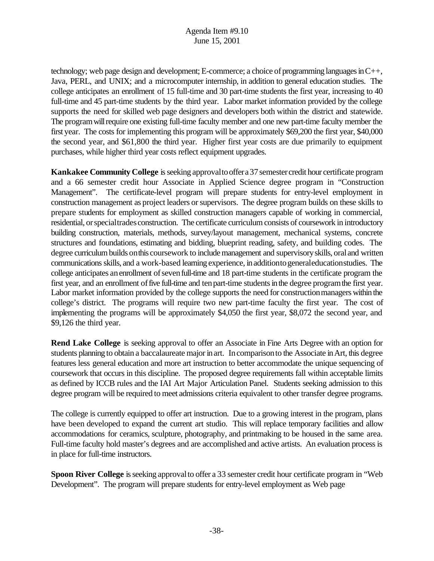technology; web page design and development; E-commerce; a choice of programming languages in  $C_{++}$ , Java, PERL, and UNIX; and a microcomputer internship, in addition to general education studies. The college anticipates an enrollment of 15 full-time and 30 part-time students the first year, increasing to 40 full-time and 45 part-time students by the third year. Labor market information provided by the college supports the need for skilled web page designers and developers both within the district and statewide. The program will require one existing full-time faculty member and one new part-time faculty member the first year. The costs for implementing this program will be approximately \$69,200 the first year, \$40,000 the second year, and \$61,800 the third year. Higher first year costs are due primarily to equipment purchases, while higher third year costs reflect equipment upgrades.

**Kankakee Community College** is seeking approval to offer a 37 semester credit hour certificate program and a 66 semester credit hour Associate in Applied Science degree program in "Construction Management". The certificate-level program will prepare students for entry-level employment in construction management as project leaders or supervisors. The degree program builds on these skills to prepare students for employment as skilled construction managers capable of working in commercial, residential, orspecialtrades construction. The certificate curriculum consists of coursework in introductory building construction, materials, methods, survey/layout management, mechanical systems, concrete structures and foundations, estimating and bidding, blueprint reading, safety, and building codes. The degree curriculumbuilds onthis coursework to includemanagement and supervisoryskills, oral and written communications skills, and a work-based learning experience, inadditiontogeneraleducationstudies. The college anticipates an enrollment of seven full-time and 18 part-time students in the certificate program the first year, and an enrollment offive full-time and tenpart-time studentsinthe degree programthe first year. Labor market information provided by the college supports the need for constructionmanagers within the college's district. The programs will require two new part-time faculty the first year. The cost of implementing the programs will be approximately \$4,050 the first year, \$8,072 the second year, and \$9,126 the third year.

**Rend Lake College** is seeking approval to offer an Associate in Fine Arts Degree with an option for students planning to obtain a baccalaureate major in art. In comparison to the Associate in Art, this degree features less general education and more art instruction to better accommodate the unique sequencing of coursework that occurs in this discipline. The proposed degree requirements fall within acceptable limits as defined by ICCB rules and the IAI Art Major Articulation Panel. Students seeking admission to this degree program will be required to meet admissions criteria equivalent to other transfer degree programs.

The college is currently equipped to offer art instruction. Due to a growing interest in the program, plans have been developed to expand the current art studio. This will replace temporary facilities and allow accommodations for ceramics, sculpture, photography, and printmaking to be housed in the same area. Full-time faculty hold master's degrees and are accomplished and active artists. An evaluation process is in place for full-time instructors.

**Spoon River College** is seeking approval to offer a 33 semester credit hour certificate program in "Web" Development". The program will prepare students for entry-level employment as Web page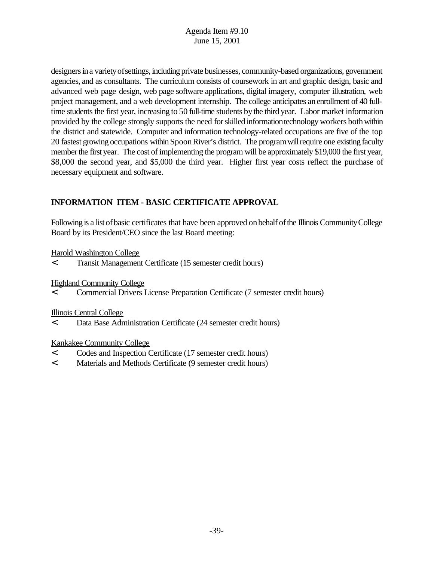designers in a variety of settings, including private businesses, community-based organizations, government agencies, and as consultants. The curriculum consists of coursework in art and graphic design, basic and advanced web page design, web page software applications, digital imagery, computer illustration, web project management, and a web development internship. The college anticipates anenrollment of 40 fulltime students the first year, increasing to 50 full-time students bythe third year. Labor market information provided by the college strongly supports the need forskilled informationtechnology workers bothwithin the district and statewide. Computer and information technology-related occupations are five of the top 20 fastest growing occupations withinSpoonRiver's district. The programwillrequire one existing faculty member the first year. The cost of implementing the program will be approximately \$19,000 the first year, \$8,000 the second year, and \$5,000 the third year. Higher first year costs reflect the purchase of necessary equipment and software.

# **INFORMATION ITEM - BASIC CERTIFICATE APPROVAL**

Following is a list of basic certificates that have been approved on behalf of the Illinois Community College Board by its President/CEO since the last Board meeting:

## Harold Washington College

< Transit Management Certificate (15 semester credit hours)

Highland Community College

< Commercial Drivers License Preparation Certificate (7 semester credit hours)

Illinois Central College

< Data Base Administration Certificate (24 semester credit hours)

### Kankakee Community College

- < Codes and Inspection Certificate (17 semester credit hours)
- < Materials and Methods Certificate (9 semester credit hours)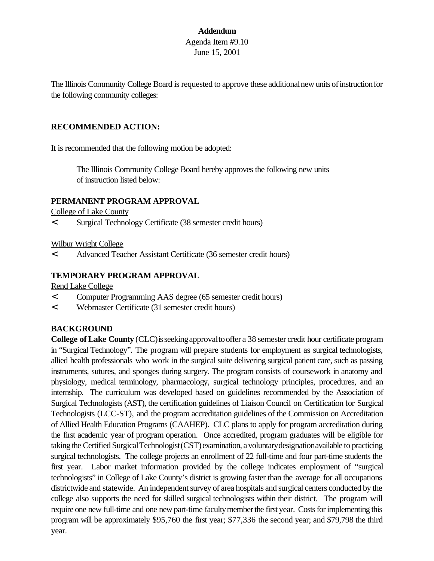# **Addendum** Agenda Item #9.10 June 15, 2001

The Illinois Community College Board is requested to approve these additionalnew units ofinstructionfor the following community colleges:

### **RECOMMENDED ACTION:**

It is recommended that the following motion be adopted:

The Illinois Community College Board hereby approves the following new units of instruction listed below:

#### **PERMANENT PROGRAM APPROVAL**

College of Lake County

< Surgical Technology Certificate (38 semester credit hours)

Wilbur Wright College

< Advanced Teacher Assistant Certificate (36 semester credit hours)

#### **TEMPORARY PROGRAM APPROVAL**

Rend Lake College

- < Computer Programming AAS degree (65 semester credit hours)
- < Webmaster Certificate (31 semester credit hours)

#### **BACKGROUND**

**College of Lake County** (CLC)isseekingapprovaltooffer a 38 semester credit hour certificate program in "Surgical Technology". The program will prepare students for employment as surgical technologists, allied health professionals who work in the surgical suite delivering surgical patient care, such as passing instruments, sutures, and sponges during surgery. The program consists of coursework in anatomy and physiology, medical terminology, pharmacology, surgical technology principles, procedures, and an internship. The curriculum was developed based on guidelines recommended by the Association of Surgical Technologists (AST), the certification guidelines of Liaison Council on Certification for Surgical Technologists (LCC-ST), and the program accreditation guidelines of the Commission on Accreditation of Allied Health Education Programs (CAAHEP). CLC plans to apply for program accreditation during the first academic year of program operation. Once accredited, program graduates will be eligible for taking the Certified SurgicalTechnologist(CST) examination, avoluntarydesignationavailable to practicing surgical technologists. The college projects an enrollment of 22 full-time and four part-time students the first year. Labor market information provided by the college indicates employment of "surgical technologists" in College of Lake County's district is growing faster than the average for all occupations districtwide and statewide. An independent survey of area hospitals and surgical centers conducted by the college also supports the need for skilled surgical technologists within their district. The program will require one new full-time and one new part-time faculty member the first year. Costs for implementing this program will be approximately \$95,760 the first year; \$77,336 the second year; and \$79,798 the third year.